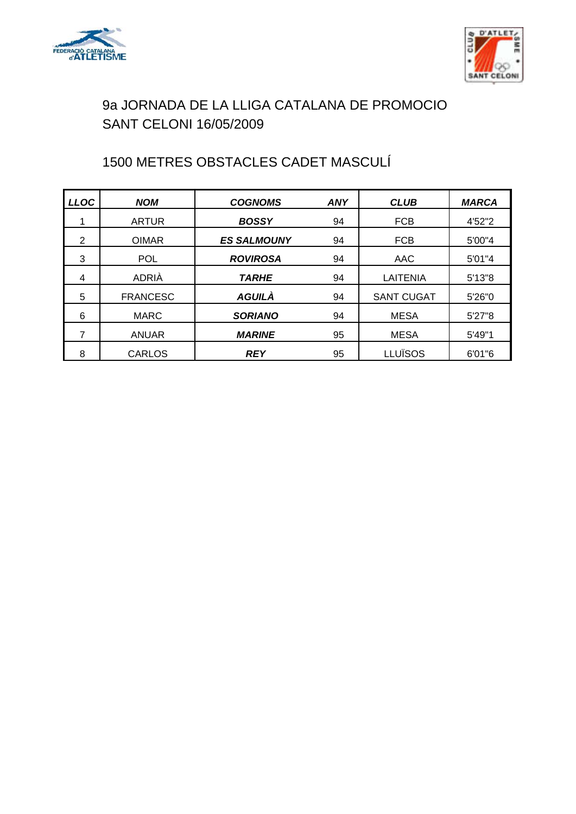



# 1500 METRES OBSTACLES CADET MASCULÍ

| <b>LLOC</b> | <b>NOM</b>      | <b>COGNOMS</b>     | <b>ANY</b> | <b>CLUB</b>       | <b>MARCA</b> |
|-------------|-----------------|--------------------|------------|-------------------|--------------|
|             | <b>ARTUR</b>    | <b>BOSSY</b>       | 94         | <b>FCB</b>        | 4'52"2       |
| 2           | <b>OIMAR</b>    | <b>ES SALMOUNY</b> | 94         | <b>FCB</b>        | 5'00"4       |
| 3           | <b>POL</b>      | <b>ROVIROSA</b>    | 94         | AAC               | 5'01"4       |
| 4           | ADRIÀ           | <b>TARHE</b>       | 94         | LAITENIA          | 5'13''8      |
| 5           | <b>FRANCESC</b> | <b>AGUILÀ</b>      | 94         | <b>SANT CUGAT</b> | 5'26"0       |
| 6           | <b>MARC</b>     | <b>SORIANO</b>     | 94         | <b>MESA</b>       | 5'27"8       |
| 7           | <b>ANUAR</b>    | <b>MARINE</b>      | 95         | <b>MESA</b>       | 5'49"1       |
| 8           | CARLOS          | <b>REY</b>         | 95         | LLUÏSOS           | 6'01"6       |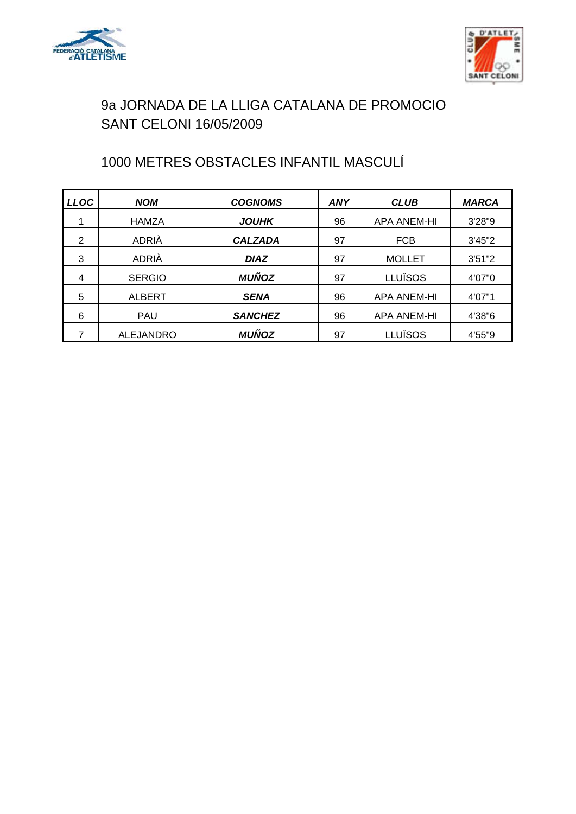



# 1000 METRES OBSTACLES INFANTIL MASCULÍ

| <b>LLOC</b> | <b>NOM</b>       | <b>COGNOMS</b> | ANY | <b>CLUB</b>        | <b>MARCA</b> |
|-------------|------------------|----------------|-----|--------------------|--------------|
|             | <b>HAMZA</b>     | <b>JOUHK</b>   | 96  | <b>APA ANEM-HI</b> | 3'28"9       |
| 2           | ADRIÀ            | <b>CALZADA</b> | 97  | <b>FCB</b>         | 3'45''2      |
| 3           | <b>ADRIÀ</b>     | <b>DIAZ</b>    | 97  | <b>MOLLET</b>      | 3'51''2      |
| 4           | <b>SERGIO</b>    | <b>MUÑOZ</b>   | 97  | <b>LLUÏSOS</b>     | 4'07"0       |
| 5           | <b>ALBERT</b>    | <b>SENA</b>    | 96  | <b>APA ANEM-HI</b> | 4'07"1       |
| 6           | <b>PAU</b>       | <b>SANCHEZ</b> | 96  | <b>APA ANEM-HI</b> | 4'38"6       |
|             | <b>ALEJANDRO</b> | <b>MUÑOZ</b>   | 97  | <b>LLUÏSOS</b>     | 4'55"9       |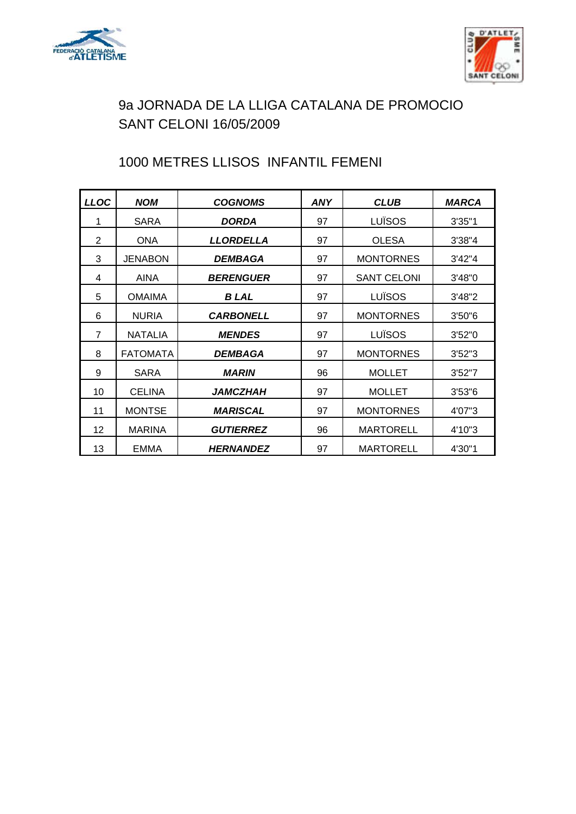



# 1000 METRES LLISOS INFANTIL FEMENI

| <b>LLOC</b>    | <b>NOM</b>      | <b>COGNOMS</b>         | <b>ANY</b> | <b>CLUB</b>        | <b>MARCA</b> |
|----------------|-----------------|------------------------|------------|--------------------|--------------|
| 1              | SARA            | <b>DORDA</b>           | 97         | LUÏSOS             | 3'35"1       |
| 2              | <b>ONA</b>      | <b>LLORDELLA</b>       | 97         | <b>OLESA</b>       | 3'38''4      |
| 3              | <b>JENABON</b>  | <i><b>DEMBAGA</b></i>  | 97         | <b>MONTORNES</b>   | 3'42''4      |
| 4              | AINA            | <b>BERENGUER</b>       | 97         | <b>SANT CELONI</b> | 3'48"0       |
| 5              | <b>OMAIMA</b>   | <b>BLAL</b>            | 97         | LUÏSOS             | 3'48''2      |
| 6              | <b>NURIA</b>    | <b>CARBONELL</b>       | 97         | <b>MONTORNES</b>   | 3'50''6      |
| $\overline{7}$ | <b>NATALIA</b>  | <b>MENDES</b>          | 97         | LUÏSOS             | 3'52"0       |
| 8              | <b>FATOMATA</b> | <b>DEMBAGA</b>         | 97         | <b>MONTORNES</b>   | 3'52''3      |
| 9              | <b>SARA</b>     | <b>MARIN</b>           | 96         | <b>MOLLET</b>      | 3'52"7       |
| 10             | <b>CELINA</b>   | <i><b>JAMCZHAH</b></i> | 97         | <b>MOLLET</b>      | 3'53''6      |
| 11             | <b>MONTSE</b>   | <b>MARISCAL</b>        | 97         | <b>MONTORNES</b>   | 4'07"3       |
| 12             | <b>MARINA</b>   | <b>GUTIERREZ</b>       | 96         | <b>MARTORELL</b>   | 4'10"3       |
| 13             | EMMA            | <b>HERNANDEZ</b>       | 97         | MARTORELL          | 4'30"1       |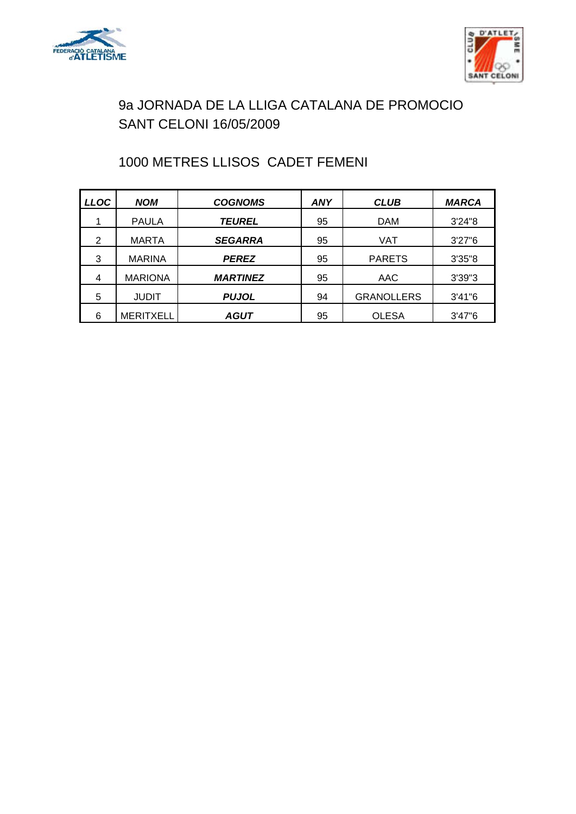



# 1000 METRES LLISOS CADET FEMENI

| <b>LLOC</b>    | <b>NOM</b>       | <b>COGNOMS</b>  | ANY | <b>CLUB</b>       | <b>MARCA</b> |
|----------------|------------------|-----------------|-----|-------------------|--------------|
|                | <b>PAULA</b>     | <b>TEUREL</b>   | 95  | <b>DAM</b>        | 3'24''8      |
| $\overline{2}$ | <b>MARTA</b>     | <b>SEGARRA</b>  | 95  | VAT               | 3'27''6      |
| 3              | <b>MARINA</b>    | <b>PEREZ</b>    | 95  | <b>PARETS</b>     | 3'35"8       |
| 4              | <b>MARIONA</b>   | <b>MARTINEZ</b> | 95  | AAC               | 3'39''3      |
| 5              | <b>JUDIT</b>     | <b>PUJOL</b>    | 94  | <b>GRANOLLERS</b> | 3'41''6      |
| 6              | <b>MERITXELL</b> | AGUT            | 95  | <b>OLESA</b>      | 3'47''6      |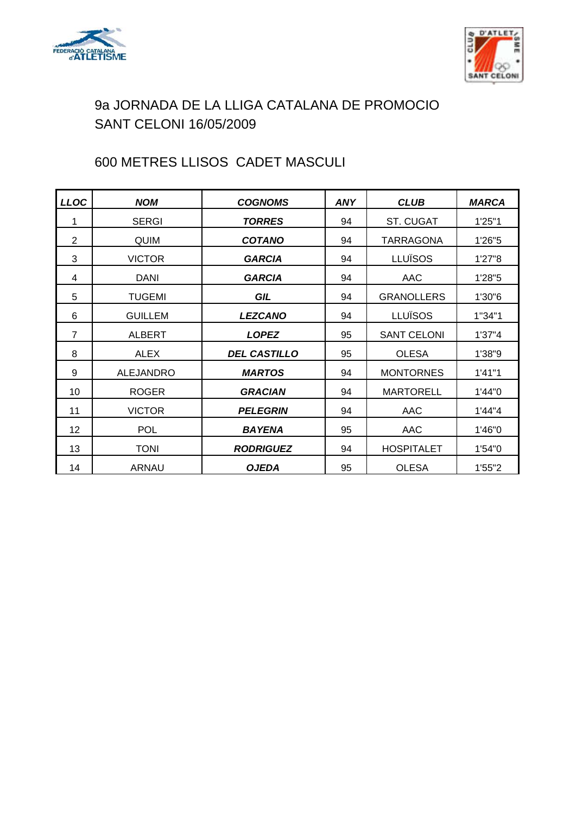



# 600 METRES LLISOS CADET MASCULI

| <b>LLOC</b>    | <b>NOM</b>       | <b>COGNOMS</b>      | <b>ANY</b> | <b>CLUB</b>        | <b>MARCA</b> |
|----------------|------------------|---------------------|------------|--------------------|--------------|
| 1              | <b>SERGI</b>     | <b>TORRES</b>       | 94         | <b>ST. CUGAT</b>   | 1'25"1       |
| 2              | <b>QUIM</b>      | <b>COTANO</b>       | 94         | TARRAGONA          | 1'26"5       |
| 3              | <b>VICTOR</b>    | <b>GARCIA</b>       | 94         | <b>LLUÏSOS</b>     | 1'27"8       |
| 4              | DANI             | <b>GARCIA</b>       | 94         | AAC                | 1'28"5       |
| 5              | <b>TUGEMI</b>    | GIL                 | 94         | <b>GRANOLLERS</b>  | 1'30"6       |
| 6              | <b>GUILLEM</b>   | <b>LEZCANO</b>      | 94         | LLUÏSOS            | 1"34"1       |
| $\overline{7}$ | <b>ALBERT</b>    | <b>LOPEZ</b>        | 95         | <b>SANT CELONI</b> | 1'37''4      |
| 8              | <b>ALEX</b>      | <b>DEL CASTILLO</b> | 95         | <b>OLESA</b>       | 1'38"9       |
| 9              | <b>ALEJANDRO</b> | <b>MARTOS</b>       | 94         | <b>MONTORNES</b>   | 1'41"1       |
| 10             | <b>ROGER</b>     | <b>GRACIAN</b>      | 94         | <b>MARTORELL</b>   | 1'44"0       |
| 11             | <b>VICTOR</b>    | <b>PELEGRIN</b>     | 94         | AAC                | 1'44"4       |
| 12             | <b>POL</b>       | <b>BAYENA</b>       | 95         | AAC                | 1'46"0       |
| 13             | <b>TONI</b>      | <b>RODRIGUEZ</b>    | 94         | <b>HOSPITALET</b>  | 1'54"0       |
| 14             | <b>ARNAU</b>     | <b>OJEDA</b>        | 95         | <b>OLESA</b>       | 1'55"2       |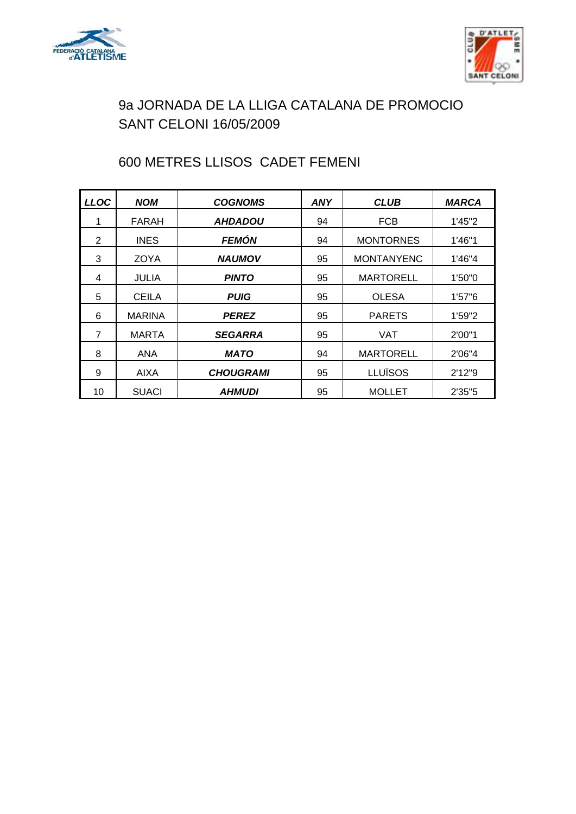



# 600 METRES LLISOS CADET FEMENI

| <b>LLOC</b> | <b>NOM</b>    | <b>COGNOMS</b>        | ANY | <b>CLUB</b>       | <b>MARCA</b> |
|-------------|---------------|-----------------------|-----|-------------------|--------------|
| 1           | FARAH         | <i><b>AHDADOU</b></i> | 94  | <b>FCB</b>        | 1'45"2       |
| 2           | <b>INES</b>   | <b>FEMÓN</b>          | 94  | <b>MONTORNES</b>  | 1'46"1       |
| 3           | ZOYA          | <b>NAUMOV</b>         | 95  | <b>MONTANYENC</b> | 1'46"4       |
| 4           | JULIA         | <b>PINTO</b>          | 95  | <b>MARTORELL</b>  | 1'50"0       |
| 5           | <b>CEILA</b>  | <b>PUIG</b>           | 95  | <b>OLESA</b>      | 1'57''6      |
| 6           | <b>MARINA</b> | <b>PEREZ</b>          | 95  | <b>PARETS</b>     | 1'59"2       |
| 7           | MARTA         | <b>SEGARRA</b>        | 95  | VAT               | 2'00"1       |
| 8           | ANA           | <b>MATO</b>           | 94  | <b>MARTORELL</b>  | 2'06"4       |
| 9           | <b>AIXA</b>   | <b>CHOUGRAMI</b>      | 95  | <b>LLUÏSOS</b>    | 2'12''9      |
| 10          | <b>SUACI</b>  | <i><b>AHMUDI</b></i>  | 95  | <b>MOLLET</b>     | 2'35"5       |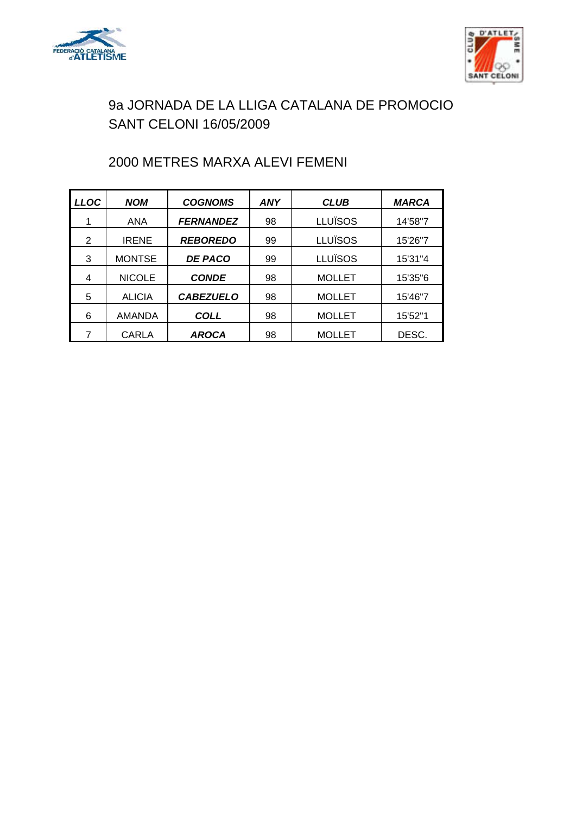



# 2000 METRES MARXA ALEVI FEMENI

| <b>LLOC</b> | <b>NOM</b>    | <b>COGNOMS</b>   | <b>ANY</b> | <b>CLUB</b>    | <b>MARCA</b> |
|-------------|---------------|------------------|------------|----------------|--------------|
|             | <b>ANA</b>    | <b>FERNANDEZ</b> | 98         | <b>LLUÏSOS</b> | 14'58"7      |
| 2           | <b>IRENE</b>  | <b>REBOREDO</b>  | 99         | LLUÏSOS        | 15'26"7      |
| 3           | <b>MONTSE</b> | <b>DE PACO</b>   | 99         | LLUÏSOS        | 15'31"4      |
| 4           | <b>NICOLE</b> | <b>CONDE</b>     | 98         | <b>MOLLET</b>  | 15'35"6      |
| 5           | <b>ALICIA</b> | <b>CABEZUELO</b> | 98         | <b>MOLLET</b>  | 15'46"7      |
| 6           | <b>AMANDA</b> | <b>COLL</b>      | 98         | <b>MOLLET</b>  | 15'52"1      |
|             | <b>CARLA</b>  | <b>AROCA</b>     | 98         | <b>MOLLET</b>  | DESC.        |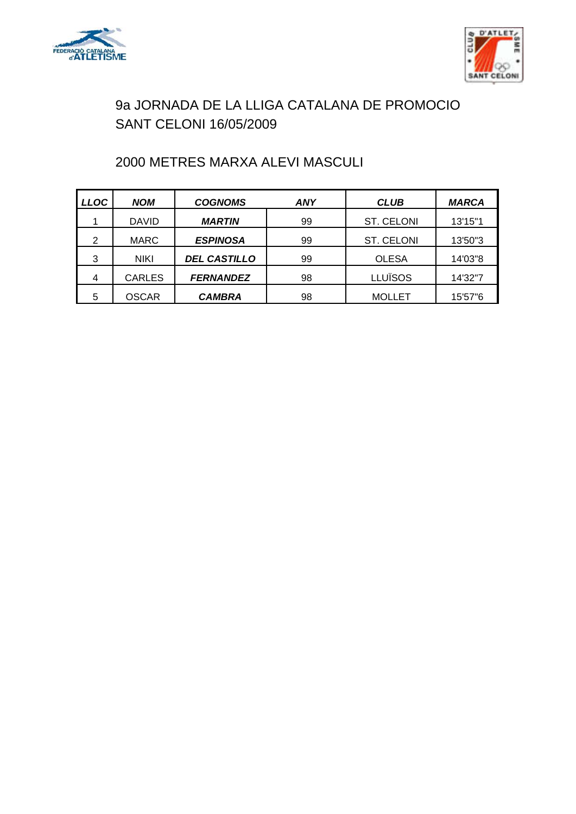



# 2000 METRES MARXA ALEVI MASCULI

| <b>LLOC</b> | <b>NOM</b>    | <b>COGNOMS</b>      | ANY | <b>CLUB</b>    | <b>MARCA</b> |
|-------------|---------------|---------------------|-----|----------------|--------------|
|             | <b>DAVID</b>  | <b>MARTIN</b>       | 99  | ST. CELONI     | 13'15"1      |
| 2           | <b>MARC</b>   | <b>ESPINOSA</b>     | 99  | ST. CELONI     | 13'50"3      |
| 3           | <b>NIKI</b>   | <b>DEL CASTILLO</b> | 99  | <b>OLESA</b>   | 14'03"8      |
| 4           | <b>CARLES</b> | <b>FERNANDEZ</b>    | 98  | <b>LLUÏSOS</b> | 14'32"7      |
| 5           | <b>OSCAR</b>  | <b>CAMBRA</b>       | 98  | <b>MOLLET</b>  | 15'57"6      |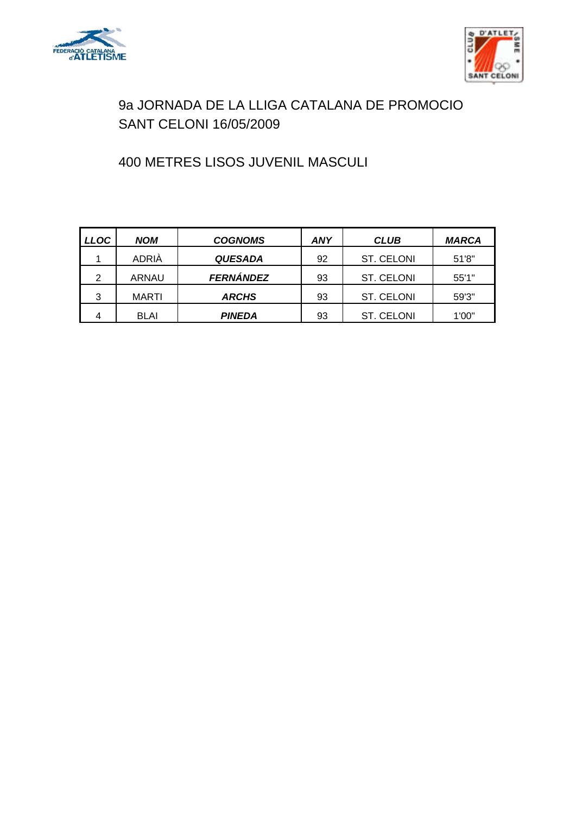



# 400 METRES LISOS JUVENIL MASCULI

| <b>LLOC</b>    | <b>NOM</b>   | <b>COGNOMS</b>   | ANY | <b>CLUB</b> | <b>MARCA</b> |
|----------------|--------------|------------------|-----|-------------|--------------|
|                | ADRIÀ        | <b>QUESADA</b>   | 92  | ST. CELONI  | 51'8"        |
| $\overline{2}$ | <b>ARNAU</b> | <b>FERNÁNDEZ</b> | 93  | ST. CELONI  | 55'1"        |
| 3              | <b>MARTI</b> | <b>ARCHS</b>     | 93  | ST. CELONI  | 59'3"        |
| 4              | <b>BLAI</b>  | PINEDA           | 93  | ST. CELONI  | 1'00"        |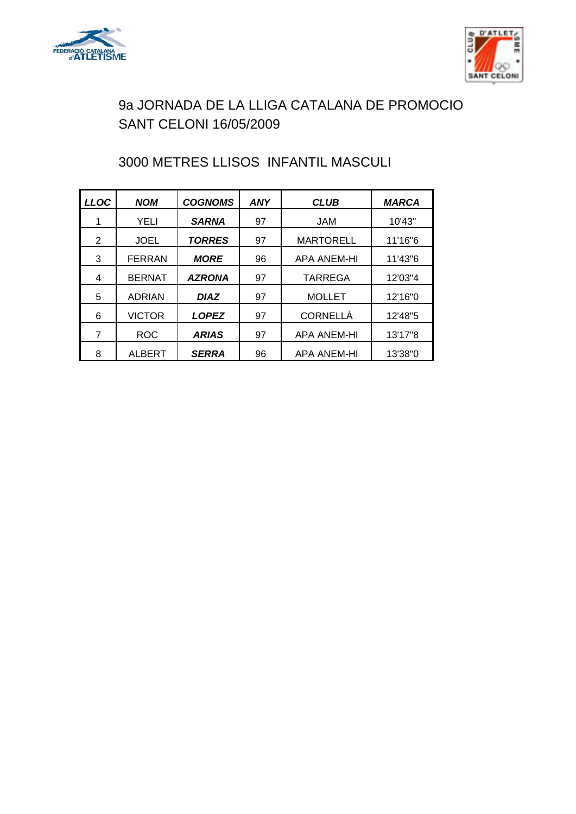



# 3000 METRES LLISOS INFANTIL MASCULI

| <b>LLOC</b> | <b>NOM</b>    | <b>COGNOMS</b> | <b>ANY</b> | <b>CLUB</b>        | <b>MARCA</b> |
|-------------|---------------|----------------|------------|--------------------|--------------|
| 1           | YELI          | <b>SARNA</b>   | 97         | JAM                | 10'43"       |
| 2           | <b>JOEL</b>   | <b>TORRES</b>  | 97         | <b>MARTORELL</b>   | 11'16"6      |
| 3           | <b>FERRAN</b> | <b>MORE</b>    | 96         | <b>APA ANEM-HI</b> | 11'43"6      |
| 4           | <b>BERNAT</b> | <b>AZRONA</b>  | 97         | TARREGA            | 12'03"4      |
| 5           | <b>ADRIAN</b> | <b>DIAZ</b>    | 97         | <b>MOLLET</b>      | 12'16"0      |
| 6           | <b>VICTOR</b> | <b>LOPEZ</b>   | 97         | <b>CORNELLÀ</b>    | 12'48"5      |
| 7           | <b>ROC</b>    | <b>ARIAS</b>   | 97         | <b>APA ANEM-HI</b> | 13'17"8      |
| 8           | <b>ALBERT</b> | <b>SERRA</b>   | 96         | <b>APA ANEM-HI</b> | 13'38"0      |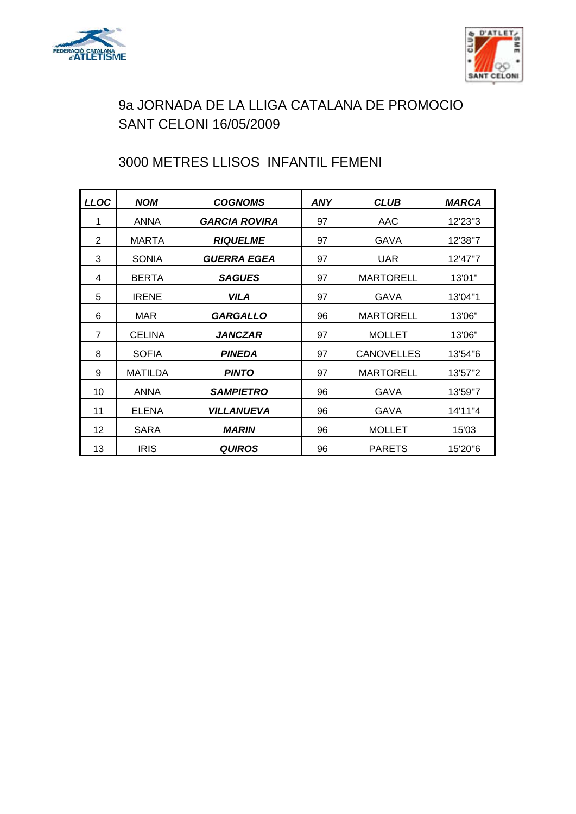



# 3000 METRES LLISOS INFANTIL FEMENI

| <b>LLOC</b>    | <b>NOM</b>     | <b>COGNOMS</b>           | <b>ANY</b> | <b>CLUB</b>       | <b>MARCA</b> |
|----------------|----------------|--------------------------|------------|-------------------|--------------|
| 1              | <b>ANNA</b>    | <b>GARCIA ROVIRA</b>     | 97         | AAC               | 12'23"3      |
| 2              | <b>MARTA</b>   | <b>RIQUELME</b>          | 97         | <b>GAVA</b>       | 12'38"7      |
| 3              | <b>SONIA</b>   | GUERRA EGEA              | 97         | <b>UAR</b>        | 12'47"7      |
| 4              | <b>BERTA</b>   | <b>SAGUES</b>            | 97         | <b>MARTORELL</b>  | 13'01"       |
| 5              | <b>IRENE</b>   | <b>VILA</b>              | 97         | <b>GAVA</b>       | 13'04"1      |
| 6              | MAR            | <b>GARGALLO</b>          | 96         | <b>MARTORELL</b>  | 13'06"       |
| $\overline{7}$ | <b>CELINA</b>  | <b>JANCZAR</b>           | 97         | <b>MOLLET</b>     | 13'06"       |
| 8              | <b>SOFIA</b>   | <b>PINEDA</b>            | 97         | <b>CANOVELLES</b> | 13'54"6      |
| 9              | <b>MATILDA</b> | <b>PINTO</b>             | 97         | <b>MARTORELL</b>  | 13'57"2      |
| 10             | ANNA           | <b>SAMPIETRO</b>         | 96         | GAVA              | 13'59"7      |
| 11             | <b>ELENA</b>   | <b><i>VILLANUEVA</i></b> | 96         | <b>GAVA</b>       | 14'11"4      |
| 12             | <b>SARA</b>    | <b>MARIN</b>             | 96         | <b>MOLLET</b>     | 15'03        |
| 13             | <b>IRIS</b>    | <b>QUIROS</b>            | 96         | <b>PARETS</b>     | 15'20"6      |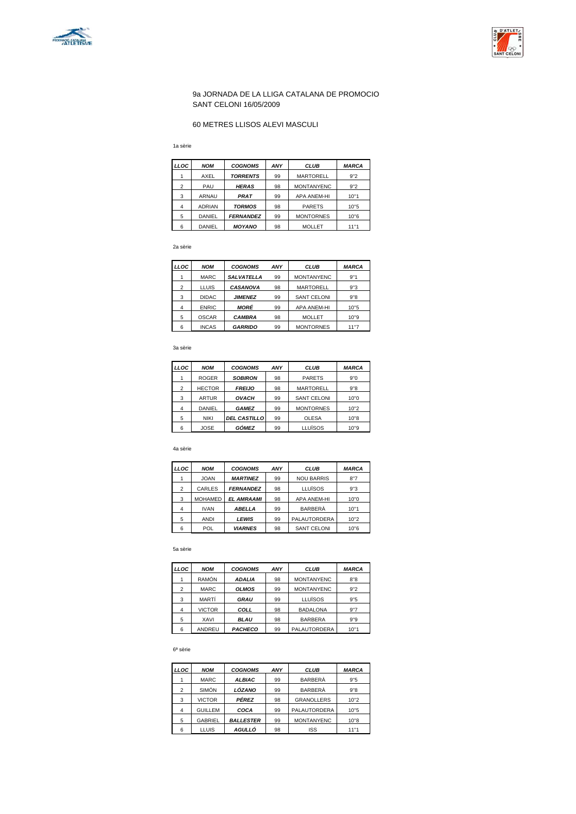



#### 60 METRES LLISOS ALEVI MASCULI

1a sèrie

| LLOC           | <b>NOM</b>    | <b>COGNOMS</b>   | ANY | <b>CLUB</b>        | <b>MARCA</b> |
|----------------|---------------|------------------|-----|--------------------|--------------|
|                | AXEL          | <b>TORRENTS</b>  | 99  | <b>MARTORELL</b>   | 9"2          |
| $\overline{2}$ | PAU           | <b>HERAS</b>     | 98  | <b>MONTANYENC</b>  | 9"2          |
| 3              | ARNAU         | <b>PRAT</b>      | 99  | <b>APA ANEM-HI</b> | 10"1         |
| 4              | <b>ADRIAN</b> | <b>TORMOS</b>    | 98  | <b>PARETS</b>      | 10"5         |
| 5              | <b>DANIEL</b> | <b>FERNANDEZ</b> | 99  | <b>MONTORNES</b>   | 10"6         |
| 6              | DANIEL        | <b>MOYANO</b>    | 98  | MOLLET             | 11"1         |

2a sèrie

| LLOC           | <b>NOM</b>   | <b>COGNOMS</b>    | ANY | <b>CLUB</b>        | <b>MARCA</b> |
|----------------|--------------|-------------------|-----|--------------------|--------------|
| 1              | <b>MARC</b>  | <b>SALVATELLA</b> | 99  | <b>MONTANYENC</b>  | 9"1          |
| $\overline{2}$ | <b>LLUIS</b> | <b>CASANOVA</b>   | 98  | <b>MARTORELL</b>   | 9"3          |
| 3              | <b>DIDAC</b> | <b>JIMENEZ</b>    | 99  | <b>SANT CELONI</b> | 9"8          |
| 4              | <b>ENRIC</b> | MORÉ              | 99  | <b>APA ANEM-HI</b> | 10"5         |
| 5              | <b>OSCAR</b> | <b>CAMBRA</b>     | 98  | <b>MOLLET</b>      | 10"9         |
| 6              | <b>INCAS</b> | <b>GARRIDO</b>    | 99  | <b>MONTORNES</b>   | 11"7         |

3a sèrie

| LLOC           | <b>NOM</b>    | <b>COGNOMS</b>      | ANY | <b>CLUB</b>        | <b>MARCA</b> |
|----------------|---------------|---------------------|-----|--------------------|--------------|
|                | <b>ROGER</b>  | <b>SOBIRON</b>      | 98  | <b>PARETS</b>      | 9"0          |
| $\overline{2}$ | <b>HECTOR</b> | <b>FREIJO</b>       | 98  | <b>MARTORELL</b>   | 9"8          |
| 3              | <b>ARTUR</b>  | <b>OVACH</b>        | 99  | <b>SANT CELONI</b> | 10"0         |
| 4              | DANIEL        | <b>GAMEZ</b>        | 99  | <b>MONTORNES</b>   | 10"2         |
| 5              | <b>NIKI</b>   | <b>DEL CASTILLO</b> | 99  | <b>OLESA</b>       | 10"8         |
| 6              | <b>JOSE</b>   | GÓMEZ               | 99  | <b>LLUÏSOS</b>     | 10"9         |

#### 4a sèrie

| LLOC           | <b>NOM</b>     | <b>COGNOMS</b>    | ANY | <b>CLUB</b>         | <b>MARCA</b> |
|----------------|----------------|-------------------|-----|---------------------|--------------|
|                | <b>JOAN</b>    | <b>MARTINEZ</b>   | 99  | <b>NOU BARRIS</b>   | 8"7          |
| $\overline{2}$ | CARLES         | <b>FERNANDEZ</b>  | 98  | LLUÏSOS             | 9"3          |
| 3              | <b>MOHAMED</b> | <b>EL AMRAAMI</b> | 98  | <b>APA ANEM-HI</b>  | 10"0         |
| 4              | <b>IVAN</b>    | <b>ABELLA</b>     | 99  | <b>BARBERÀ</b>      | 10"1         |
| 5              | <b>ANDI</b>    | <b>LEWIS</b>      | 99  | <b>PALAUTORDERA</b> | 10"2         |
| 6              | POL            | <b>VIARNES</b>    | 98  | <b>SANT CELONI</b>  | 10"6         |

#### 5a sèrie

| LLOC           | <b>NOM</b>    | <b>COGNOMS</b> | ANY | <b>CLUB</b>       | <b>MARCA</b> |
|----------------|---------------|----------------|-----|-------------------|--------------|
|                | <b>RAMÓN</b>  | <b>ADALIA</b>  | 98  | <b>MONTANYENC</b> | 8''8         |
| $\overline{2}$ | <b>MARC</b>   | <b>OLMOS</b>   | 99  | <b>MONTANYENC</b> | 9"2          |
| 3              | MARTÍ         | <b>GRAU</b>    | 99  | <b>LLUÏSOS</b>    | 9"5          |
| $\overline{4}$ | <b>VICTOR</b> | COLL           | 98  | <b>BADALONA</b>   | 9"7          |
| 5              | XAVI          | <b>BLAU</b>    | 98  | <b>BARBERA</b>    | 9"9          |
| 6              | ANDREU        | <b>PACHECO</b> | 99  | PALAUTORDERA      | 10"1         |

#### 6ª sèrie

| LLOC           | <b>NOM</b>     | <b>COGNOMS</b>   | ANY | <b>CLUB</b>         | <b>MARCA</b> |
|----------------|----------------|------------------|-----|---------------------|--------------|
|                | <b>MARC</b>    | <b>ALBIAC</b>    | 99  | <b>BARBERÀ</b>      | 9"5          |
| $\overline{2}$ | <b>SIMÓN</b>   | LÓZANO           | 99  | <b>BARBERÀ</b>      | 9"8          |
| 3              | <b>VICTOR</b>  | <b>PÉREZ</b>     | 98  | <b>GRANOLLERS</b>   | 10"2         |
| 4              | <b>GUILLEM</b> | COCA             | 99  | <b>PALAUTORDERA</b> | 10"5         |
| 5              | <b>GABRIEL</b> | <b>BALLESTER</b> | 99  | <b>MONTANYENC</b>   | 10"8         |
| 6              | <b>LLUIS</b>   | <b>AGULLÓ</b>    | 98  | <b>ISS</b>          | 11"1         |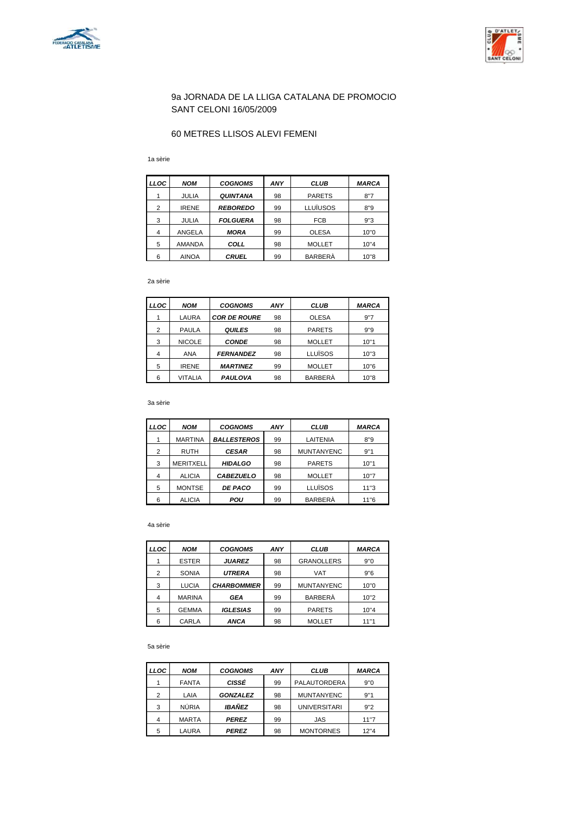



### 60 METRES LLISOS ALEVI FEMENI

1a sèrie

| <b>LLOC</b> | <b>NOM</b>    | <b>COGNOMS</b>  | ANY | <b>CLUB</b>    | <b>MARCA</b> |
|-------------|---------------|-----------------|-----|----------------|--------------|
|             | <b>JULIA</b>  | <b>QUINTANA</b> | 98  | <b>PARETS</b>  | 8"7          |
| 2           | <b>IRENE</b>  | <b>REBOREDO</b> | 99  | LLUÏUSOS       | 8"9          |
| 3           | <b>JULIA</b>  | <b>FOLGUERA</b> | 98  | <b>FCB</b>     | 9"3          |
| 4           | ANGELA        | <b>MORA</b>     | 99  | <b>OLESA</b>   | 10"0         |
| 5           | <b>AMANDA</b> | COLL            | 98  | <b>MOLLET</b>  | 10"4         |
| 6           | <b>AINOA</b>  | <b>CRUEL</b>    | 99  | <b>BARBERÀ</b> | 10"8         |

2a sèrie

| LLOC | <b>NOM</b>    | <b>COGNOMS</b>      | ANY | <b>CLUB</b>    | <b>MARCA</b> |
|------|---------------|---------------------|-----|----------------|--------------|
|      | LAURA         | <b>COR DE ROURE</b> | 98  | <b>OLESA</b>   | 9"7          |
| 2    | <b>PAULA</b>  | <b>QUILES</b>       | 98  | <b>PARETS</b>  | 9"9          |
| 3    | <b>NICOLE</b> | <b>CONDE</b>        | 98  | <b>MOLLET</b>  | 10"1         |
| 4    | <b>ANA</b>    | <b>FERNANDEZ</b>    | 98  | LLUÏSOS        | 10"3         |
| 5    | <b>IRENE</b>  | <b>MARTINEZ</b>     | 99  | <b>MOLLET</b>  | 10"6         |
| 6    | VITALIA       | <b>PAULOVA</b>      | 98  | <b>BARBERA</b> | 10"8         |

3a sèrie

| LLOC | <b>NOM</b>       | <b>COGNOMS</b>     | ANY | <b>CLUB</b>       | <b>MARCA</b> |
|------|------------------|--------------------|-----|-------------------|--------------|
|      | <b>MARTINA</b>   | <b>BALLESTEROS</b> | 99  | LAITENIA          | 8"9          |
| 2    | <b>RUTH</b>      | <b>CESAR</b>       | 98  | <b>MUNTANYENC</b> | 9"1          |
| 3    | <b>MERITXELL</b> | <b>HIDALGO</b>     | 98  | <b>PARETS</b>     | 10"1         |
| 4    | <b>ALICIA</b>    | <b>CABEZUELO</b>   | 98  | <b>MOLLET</b>     | 10"7         |
| 5    | <b>MONTSE</b>    | <b>DE PACO</b>     | 99  | LLUÏSOS           | 11"3         |
| 6    | <b>ALICIA</b>    | POU                | 99  | <b>BARBERÀ</b>    | 11"6         |

4a sèrie

| <b>LLOC</b> | <b>NOM</b>    | <b>COGNOMS</b>     | ANY | CLUB              | <b>MARCA</b> |
|-------------|---------------|--------------------|-----|-------------------|--------------|
|             | <b>ESTER</b>  | <b>JUAREZ</b>      | 98  | <b>GRANOLLERS</b> | 9"0          |
| 2           | <b>SONIA</b>  | <b>UTRERA</b>      | 98  | <b>VAT</b>        | 9"6          |
| 3           | <b>LUCIA</b>  | <b>CHARBOMMIER</b> | 99  | <b>MUNTANYENC</b> | 10"0         |
| 4           | <b>MARINA</b> | <b>GEA</b>         | 99  | <b>BARBERÀ</b>    | 10"2         |
| 5           | <b>GEMMA</b>  | <b>IGLESIAS</b>    | 99  | <b>PARETS</b>     | 10"4         |
| 6           | CARLA         | ANCA               | 98  | <b>MOLLET</b>     | 11"1         |

#### 5a sèrie

| <b>LLOC</b> | <b>NOM</b>   | <b>COGNOMS</b>  | ANY | <b>CLUB</b>         | <b>MARCA</b> |
|-------------|--------------|-----------------|-----|---------------------|--------------|
|             | <b>FANTA</b> | <b>CISSÉ</b>    | 99  | PALAUTORDERA        | 9"0          |
| 2           | LAIA         | <b>GONZALEZ</b> | 98  | <b>MUNTANYENC</b>   | 9"1          |
| 3           | <b>NÚRIA</b> | IBAÑEZ          | 98  | <b>UNIVERSITARI</b> | 9''2         |
| 4           | <b>MARTA</b> | <b>PEREZ</b>    | 99  | JAS                 | 11"7         |
| 5           | LAURA        | <b>PEREZ</b>    | 98  | <b>MONTORNES</b>    | 12"4         |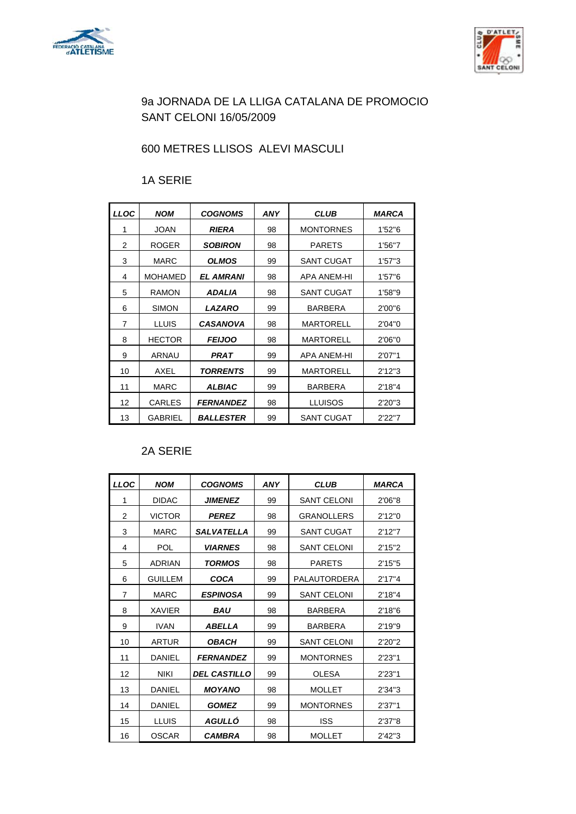



# 600 METRES LLISOS ALEVI MASCULI

## 1A SERIE

| LLOC | <b>NOM</b>     | <b>COGNOMS</b>   | ANY | <b>CLUB</b>       | MARCA   |
|------|----------------|------------------|-----|-------------------|---------|
| 1    | <b>JOAN</b>    | <b>RIERA</b>     | 98  | <b>MONTORNES</b>  | 1'52"6  |
| 2    | <b>ROGER</b>   | <b>SOBIRON</b>   | 98  | <b>PARETS</b>     | 1'56"7  |
| 3    | <b>MARC</b>    | <b>OLMOS</b>     | 99  | <b>SANT CUGAT</b> | 1'57''3 |
| 4    | <b>MOHAMED</b> | <b>EL AMRANI</b> | 98  | APA ANEM-HI       | 1'57"6  |
| 5    | <b>RAMON</b>   | ADALIA           | 98  | <b>SANT CUGAT</b> | 1'58"9  |
| 6    | <b>SIMON</b>   | <b>LAZARO</b>    | 99  | <b>BARBERA</b>    | 2'00"6  |
| 7    | <b>LLUIS</b>   | <b>CASANOVA</b>  | 98  | <b>MARTORELL</b>  | 2'04"0  |
| 8    | <b>HECTOR</b>  | <b>FEIJOO</b>    | 98  | <b>MARTORELL</b>  | 2'06"0  |
| 9    | ARNAU          | PRAT             | 99  | APA ANEM-HI       | 2'07"1  |
| 10   | AXEL           | TORRENTS         | 99  | <b>MARTORELL</b>  | 2'12''3 |
| 11   | <b>MARC</b>    | <b>ALBIAC</b>    | 99  | <b>BARBERA</b>    | 2'18"4  |
| 12   | <b>CARLES</b>  | <b>FERNANDEZ</b> | 98  | LLUISOS           | 2'20"3  |
| 13   | <b>GABRIEL</b> | <b>BALLESTER</b> | 99  | <b>SANT CUGAT</b> | 2'22"7  |

### 2A SERIE

| <b>LLOC</b>    | <b>NOM</b>     | <b>COGNOMS</b>        | <b>ANY</b> | <b>CLUB</b>        | <b>MARCA</b> |
|----------------|----------------|-----------------------|------------|--------------------|--------------|
| 1              | <b>DIDAC</b>   | <b>JIMENEZ</b>        | 99         | <b>SANT CELONI</b> | 2'06"8       |
| $\overline{2}$ | <b>VICTOR</b>  | <b>PEREZ</b>          | 98         | <b>GRANOLLERS</b>  | 2'12"0       |
| 3              | <b>MARC</b>    | <b>SALVATELLA</b>     | 99         | <b>SANT CUGAT</b>  | 2'12''7      |
| 4              | POL            | <b><i>VIARNES</i></b> | 98         | <b>SANT CELONI</b> | 2'15''2      |
| 5              | ADRIAN         | <b>TORMOS</b>         | 98         | <b>PARETS</b>      | 2'15''5      |
| 6              | <b>GUILLEM</b> | COCA                  | 99         | PALAUTORDERA       | 2'17''4      |
| 7              | <b>MARC</b>    | <b>ESPINOSA</b>       | 99         | <b>SANT CELONI</b> | 2'18''4      |
| 8              | <b>XAVIER</b>  | <i><b>BAU</b></i>     | 98         | <b>BARBERA</b>     | 2'18"6       |
| 9              | <b>IVAN</b>    | ABELLA                | 99         | <b>BARBERA</b>     | 2'19"9       |
| 10             | <b>ARTUR</b>   | <b>OBACH</b>          | 99         | <b>SANT CELONI</b> | 2'20"2       |
| 11             | DANIEL         | <b>FERNANDEZ</b>      | 99         | <b>MONTORNES</b>   | 2'23''1      |
| 12             | <b>NIKI</b>    | <b>DEL CASTILLO</b>   | 99         | <b>OLESA</b>       | 2'23''1      |
| 13             | DANIEL         | <b>MOYANO</b>         | 98         | <b>MOLLET</b>      | 2'34"3       |
| 14             | DANIEL         | <b>GOMEZ</b>          | 99         | <b>MONTORNES</b>   | 2'37''1      |
| 15             | <b>LLUIS</b>   | AGULLÓ                | 98         | <b>ISS</b>         | 2'37"8       |
| 16             | <b>OSCAR</b>   | <b>CAMBRA</b>         | 98         | <b>MOLLET</b>      | 2'42''3      |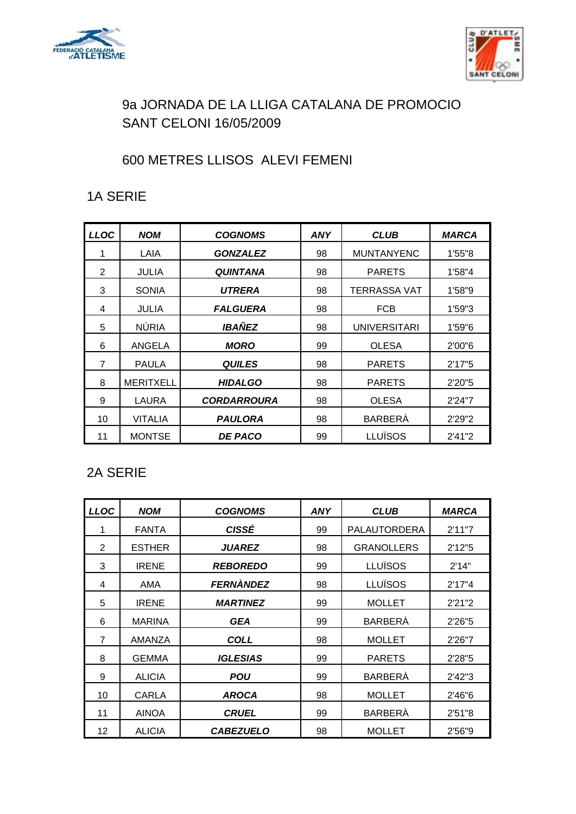



# 600 METRES LLISOS ALEVI FEMENI

## 1A SERIE

| LLOC           | <b>NOM</b>       | <b>COGNOMS</b>     | <b>ANY</b> | <b>CLUB</b>         | <b>MARCA</b> |
|----------------|------------------|--------------------|------------|---------------------|--------------|
| 1              | LAIA             | <b>GONZALEZ</b>    | 98         | <b>MUNTANYENC</b>   | 1'55"8       |
| $\overline{2}$ | JULIA            | <b>QUINTANA</b>    | 98         | <b>PARETS</b>       | 1'58"4       |
| 3              | <b>SONIA</b>     | UTRERA             | 98         | <b>TERRASSA VAT</b> | 1'58"9       |
| 4              | <b>JULIA</b>     | <b>FALGUERA</b>    | 98         | <b>FCB</b>          | 1'59"3       |
| 5              | <b>NÚRIA</b>     | <b>IBAÑEZ</b>      | 98         | <b>UNIVERSITARI</b> | 1'59"6       |
| 6              | ANGELA           | <b>MORO</b>        | 99         | <b>OLESA</b>        | 2'00"6       |
| 7              | <b>PAULA</b>     | <b>QUILES</b>      | 98         | <b>PARETS</b>       | 2'17"5       |
| 8              | <b>MERITXELL</b> | <b>HIDALGO</b>     | 98         | <b>PARETS</b>       | 2'20"5       |
| 9              | <b>LAURA</b>     | <b>CORDARROURA</b> | 98         | <b>OLESA</b>        | 2'24"7       |
| 10             | <b>VITALIA</b>   | <b>PAULORA</b>     | 98         | <b>BARBERÀ</b>      | 2'29"2       |
| 11             | <b>MONTSE</b>    | <b>DE PACO</b>     | 99         | <b>LLUÏSOS</b>      | 2'41"2       |

## 2A SERIE

| <b>LLOC</b>    | <b>NOM</b>    | <b>COGNOMS</b>   | <b>ANY</b> | <b>CLUB</b>         | <b>MARCA</b> |
|----------------|---------------|------------------|------------|---------------------|--------------|
| 1              | <b>FANTA</b>  | <b>CISSÉ</b>     | 99         | <b>PALAUTORDERA</b> | 2'11''7      |
| 2              | <b>ESTHER</b> | <b>JUAREZ</b>    | 98         | <b>GRANOLLERS</b>   | 2'12"5       |
| 3              | <b>IRENE</b>  | <b>REBOREDO</b>  | 99         | <b>LLUÏSOS</b>      | 2'14"        |
| 4              | AMA           | FERNÀNDEZ        | 98         | <b>LLUÏSOS</b>      | 2'17''4      |
| 5              | <b>IRENE</b>  | <b>MARTINEZ</b>  | 99         | <b>MOLLET</b>       | 2'21"2       |
| 6              | <b>MARINA</b> | <b>GEA</b>       | 99         | <b>BARBERÀ</b>      | 2'26"5       |
| $\overline{7}$ | AMANZA        | <b>COLL</b>      | 98         | <b>MOLLET</b>       | 2'26"7       |
| 8              | <b>GEMMA</b>  | <b>IGLESIAS</b>  | 99         | <b>PARETS</b>       | 2'28"5       |
| 9              | <b>ALICIA</b> | POU              | 99         | <b>BARBERÀ</b>      | 2'42''3      |
| 10             | <b>CARLA</b>  | <b>AROCA</b>     | 98         | <b>MOLLET</b>       | 2'46"6       |
| 11             | <b>AINOA</b>  | <b>CRUEL</b>     | 99         | <b>BARBERÀ</b>      | 2'51"8       |
| 12             | <b>ALICIA</b> | <b>CABEZUELO</b> | 98         | <b>MOLLET</b>       | 2'56"9       |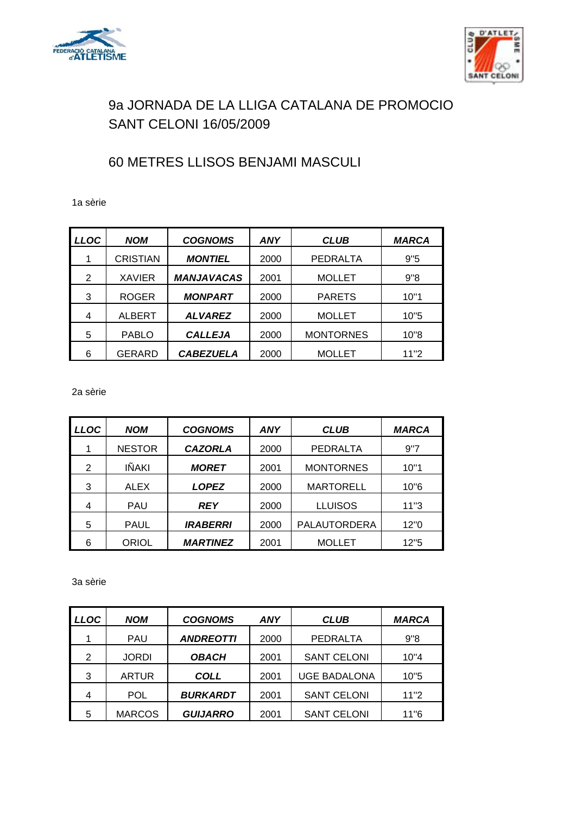



## 60 METRES LLISOS BENJAMI MASCULI

1a sèrie

| <b>LLOC</b> | <b>NOM</b>      | <b>COGNOMS</b>    | <b>ANY</b> | <b>CLUB</b>      | <b>MARCA</b> |
|-------------|-----------------|-------------------|------------|------------------|--------------|
| 1           | <b>CRISTIAN</b> | <b>MONTIEL</b>    | 2000       | <b>PEDRALTA</b>  | 9"5          |
| 2           | <b>XAVIER</b>   | <b>MANJAVACAS</b> | 2001       | <b>MOLLET</b>    | 9"8          |
| 3           | <b>ROGER</b>    | <b>MONPART</b>    | 2000       | <b>PARETS</b>    | 10"1         |
| 4           | <b>ALBERT</b>   | <b>ALVAREZ</b>    | 2000       | <b>MOLLET</b>    | 10"5         |
| 5           | <b>PABLO</b>    | <b>CALLEJA</b>    | 2000       | <b>MONTORNES</b> | 10"8         |
| 6           | GERARD          | <b>CABEZUELA</b>  | 2000       | <b>MOLLET</b>    | 11"2         |

2a sèrie

| LLOC | <b>NOM</b>    | <b>COGNOMS</b>  | ANY  | <b>CLUB</b>         | <b>MARCA</b> |
|------|---------------|-----------------|------|---------------------|--------------|
|      | <b>NESTOR</b> | <b>CAZORLA</b>  | 2000 | <b>PEDRALTA</b>     | 9"7          |
| 2    | IÑAKI         | <b>MORET</b>    | 2001 | <b>MONTORNES</b>    | 10"1         |
| 3    | <b>ALEX</b>   | <b>LOPEZ</b>    | 2000 | <b>MARTORELL</b>    | 10"6         |
| 4    | <b>PAU</b>    | <b>REY</b>      | 2000 | <b>LLUISOS</b>      | 11"3         |
| 5    | <b>PAUL</b>   | <b>IRABERRI</b> | 2000 | <b>PALAUTORDERA</b> | 12"0         |
| 6    | <b>ORIOL</b>  | <b>MARTINEZ</b> | 2001 | <b>MOLLET</b>       | 12"5         |

3a sèrie

| <b>LLOC</b> | <b>NOM</b>    | <b>COGNOMS</b>   | <b>ANY</b> | <b>CLUB</b>         | <b>MARCA</b> |
|-------------|---------------|------------------|------------|---------------------|--------------|
|             | <b>PAU</b>    | <b>ANDREOTTI</b> | 2000       | <b>PEDRALTA</b>     | 9"8          |
| 2           | <b>JORDI</b>  | <b>OBACH</b>     | 2001       | <b>SANT CELONI</b>  | 10"4         |
| 3           | <b>ARTUR</b>  | COLL             | 2001       | <b>UGE BADALONA</b> | 10"5         |
| 4           | POL           | <b>BURKARDT</b>  | 2001       | <b>SANT CELONI</b>  | 11"2         |
| 5           | <b>MARCOS</b> | <b>GUIJARRO</b>  | 2001       | <b>SANT CELONI</b>  | 11"6         |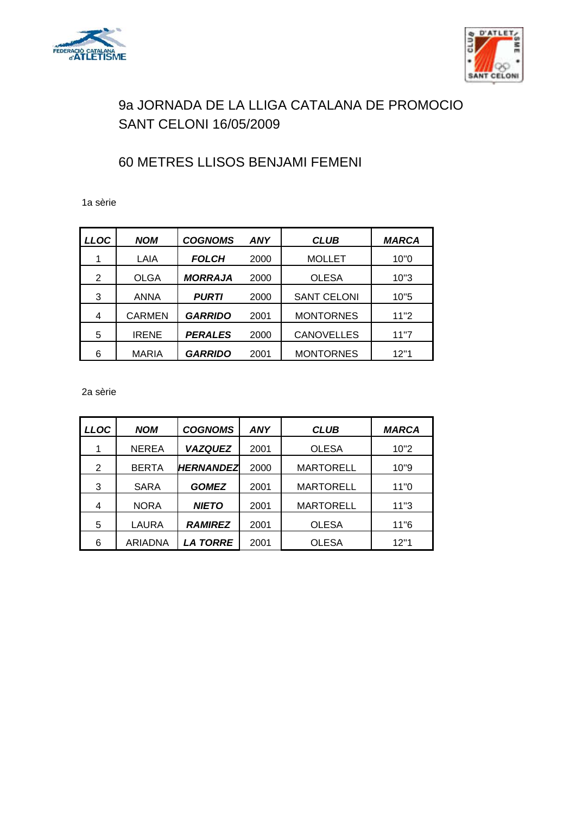



## 60 METRES LLISOS BENJAMI FEMENI

1a sèrie

| LLOC | <b>NOM</b>    | <b>COGNOMS</b> | <b>ANY</b> | <b>CLUB</b>        | <b>MARCA</b> |
|------|---------------|----------------|------------|--------------------|--------------|
|      | LAIA          | <b>FOLCH</b>   | 2000       | <b>MOLLET</b>      | 10"0         |
| 2    | <b>OLGA</b>   | <b>MORRAJA</b> | 2000       | <b>OLESA</b>       | 10"3         |
| 3    | <b>ANNA</b>   | <b>PURTI</b>   | 2000       | <b>SANT CELONI</b> | 10"5         |
| 4    | <b>CARMEN</b> | <b>GARRIDO</b> | 2001       | <b>MONTORNES</b>   | 11"2         |
| 5    | <b>IRENE</b>  | <b>PERALES</b> | 2000       | <b>CANOVELLES</b>  | 11"7         |
| 6    | <b>MARIA</b>  | <b>GARRIDO</b> | 2001       | <b>MONTORNES</b>   | 12"1         |

2a sèrie

| <b>LLOC</b> | <b>NOM</b>   | <b>COGNOMS</b>   | <b>ANY</b> | <b>CLUB</b>      | <b>MARCA</b> |
|-------------|--------------|------------------|------------|------------------|--------------|
|             | <b>NEREA</b> | <b>VAZQUEZ</b>   | 2001       | <b>OLESA</b>     | 10"2         |
| 2           | <b>BERTA</b> | <b>HERNANDEZ</b> | 2000       | <b>MARTORELL</b> | 10"9         |
| 3           | <b>SARA</b>  | <b>GOMEZ</b>     | 2001       | <b>MARTORELL</b> | 11"0         |
| 4           | <b>NORA</b>  | <b>NIETO</b>     | 2001       | <b>MARTORELL</b> | 11"3         |
| 5           | LAURA        | <b>RAMIREZ</b>   | 2001       | <b>OLESA</b>     | 11"6         |
| 6           | ARIADNA      | <b>LA TORRE</b>  | 2001       | <b>OLESA</b>     | 12"1         |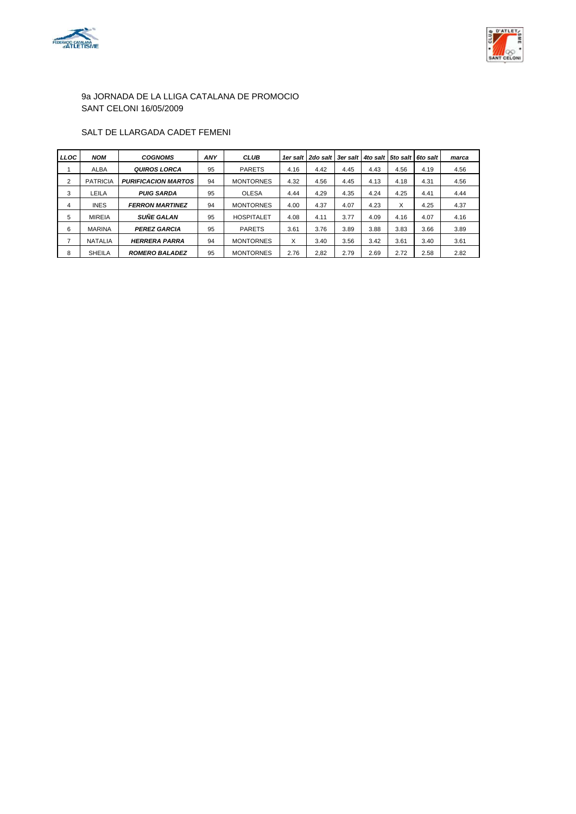



#### SALT DE LLARGADA CADET FEMENI

| <b>LLOC</b> | <b>NOM</b>      | <b>COGNOMS</b>             | <b>ANY</b> | <b>CLUB</b>       |      | 1er salt   2do salt   3er salt   4to salt   5to salt |      |      |      | 6to salt | marca |
|-------------|-----------------|----------------------------|------------|-------------------|------|------------------------------------------------------|------|------|------|----------|-------|
|             | <b>ALBA</b>     | <b>QUIROS LORCA</b>        | 95         | <b>PARETS</b>     | 4.16 | 4.42                                                 | 4.45 | 4.43 | 4.56 | 4.19     | 4.56  |
| 2           | <b>PATRICIA</b> | <b>PURIFICACION MARTOS</b> | 94         | <b>MONTORNES</b>  | 4.32 | 4.56                                                 | 4.45 | 4.13 | 4.18 | 4.31     | 4.56  |
| 3           | LEILA           | <b>PUIG SARDA</b>          | 95         | <b>OLESA</b>      | 4.44 | 4.29                                                 | 4.35 | 4.24 | 4.25 | 4.41     | 4.44  |
| 4           | <b>INES</b>     | <b>FERRON MARTINEZ</b>     | 94         | <b>MONTORNES</b>  | 4.00 | 4.37                                                 | 4.07 | 4.23 | X    | 4.25     | 4.37  |
| 5           | <b>MIREIA</b>   | <b>SUÑE GALAN</b>          | 95         | <b>HOSPITALET</b> | 4.08 | 4.11                                                 | 3.77 | 4.09 | 4.16 | 4.07     | 4.16  |
| 6           | <b>MARINA</b>   | <b>PEREZ GARCIA</b>        | 95         | <b>PARETS</b>     | 3.61 | 3.76                                                 | 3.89 | 3.88 | 3.83 | 3.66     | 3.89  |
|             | <b>NATALIA</b>  | <b>HERRERA PARRA</b>       | 94         | <b>MONTORNES</b>  | X    | 3.40                                                 | 3.56 | 3.42 | 3.61 | 3.40     | 3.61  |
| 8           | <b>SHEILA</b>   | <b>ROMERO BALADEZ</b>      | 95         | <b>MONTORNES</b>  | 2.76 | 2.82                                                 | 2.79 | 2.69 | 2.72 | 2.58     | 2.82  |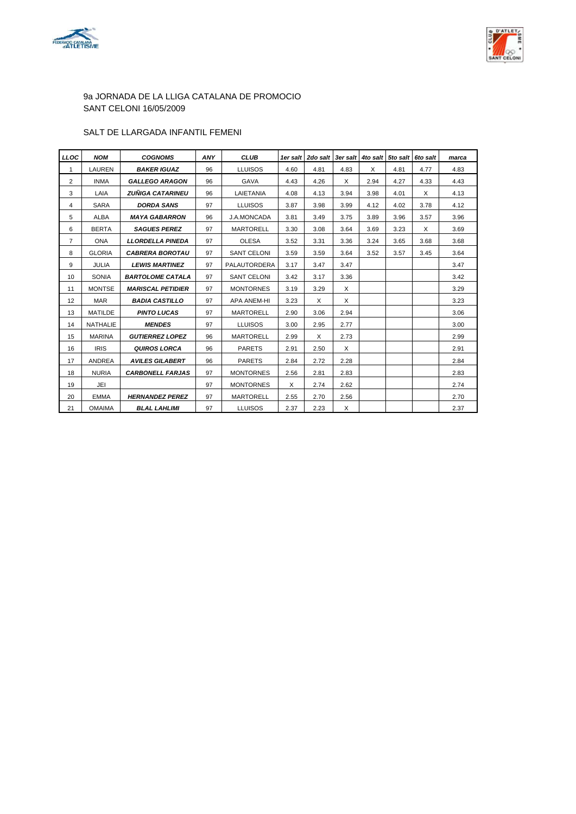



#### SALT DE LLARGADA INFANTIL FEMENI

| <b>LLOC</b>     | <b>NOM</b>      | <b>COGNOMS</b>           | ANY | <b>CLUB</b>        |      | 1er salt   2do salt   3er salt   4to salt   5to salt   6to salt |          |      |      |      | marca |
|-----------------|-----------------|--------------------------|-----|--------------------|------|-----------------------------------------------------------------|----------|------|------|------|-------|
| $\mathbf{1}$    | LAUREN          | <b>BAKER IGUAZ</b>       | 96  | <b>LLUISOS</b>     | 4.60 | 4.81                                                            | 4.83     | X    | 4.81 | 4.77 | 4.83  |
| $\overline{2}$  | <b>INMA</b>     | <b>GALLEGO ARAGON</b>    | 96  | <b>GAVA</b>        | 4.43 | 4.26                                                            | X        | 2.94 | 4.27 | 4.33 | 4.43  |
| 3               | LAIA            | <b>ZUÑIGA CATARINEU</b>  | 96  | LAIETANIA          | 4.08 | 4.13                                                            | 3.94     | 3.98 | 4.01 | X    | 4.13  |
| 4               | <b>SARA</b>     | <b>DORDA SANS</b>        | 97  | <b>LLUISOS</b>     | 3.87 | 3.98                                                            | 3.99     | 4.12 | 4.02 | 3.78 | 4.12  |
| 5               | <b>ALBA</b>     | <b>MAYA GABARRON</b>     | 96  | J.A.MONCADA        | 3.81 | 3.49                                                            | 3.75     | 3.89 | 3.96 | 3.57 | 3.96  |
| 6               | <b>BERTA</b>    | <b>SAGUES PEREZ</b>      | 97  | <b>MARTORELL</b>   | 3.30 | 3.08                                                            | 3.64     | 3.69 | 3.23 | X    | 3.69  |
| $\overline{7}$  | <b>ONA</b>      | <b>LLORDELLA PINEDA</b>  | 97  | <b>OLESA</b>       | 3.52 | 3.31                                                            | 3.36     | 3.24 | 3.65 | 3.68 | 3.68  |
| 8               | <b>GLORIA</b>   | <b>CABRERA BOROTAU</b>   | 97  | <b>SANT CELONI</b> | 3.59 | 3.59                                                            | 3.64     | 3.52 | 3.57 | 3.45 | 3.64  |
| 9               | <b>JULIA</b>    | <b>LEWIS MARTINEZ</b>    | 97  | PALAUTORDERA       | 3.17 | 3.47                                                            | 3.47     |      |      |      | 3.47  |
| 10              | <b>SONIA</b>    | <b>BARTOLOME CATALA</b>  | 97  | <b>SANT CELONI</b> | 3.42 | 3.17                                                            | 3.36     |      |      |      | 3.42  |
| 11              | <b>MONTSE</b>   | <b>MARISCAL PETIDIER</b> | 97  | <b>MONTORNES</b>   | 3.19 | 3.29                                                            | $\times$ |      |      |      | 3.29  |
| 12 <sup>2</sup> | <b>MAR</b>      | <b>BADIA CASTILLO</b>    | 97  | <b>APA ANEM-HI</b> | 3.23 | X                                                               | X        |      |      |      | 3.23  |
| 13              | <b>MATILDE</b>  | <b>PINTO LUCAS</b>       | 97  | <b>MARTORELL</b>   | 2.90 | 3.06                                                            | 2.94     |      |      |      | 3.06  |
| 14              | <b>NATHALIE</b> | <b>MENDES</b>            | 97  | <b>LLUISOS</b>     | 3.00 | 2.95                                                            | 2.77     |      |      |      | 3.00  |
| 15              | <b>MARINA</b>   | <b>GUTIERREZ LOPEZ</b>   | 96  | <b>MARTORELL</b>   | 2.99 | X                                                               | 2.73     |      |      |      | 2.99  |
| 16              | <b>IRIS</b>     | <b>QUIROS LORCA</b>      | 96  | <b>PARETS</b>      | 2.91 | 2.50                                                            | X        |      |      |      | 2.91  |
| 17              | <b>ANDREA</b>   | <b>AVILES GILABERT</b>   | 96  | <b>PARETS</b>      | 2.84 | 2.72                                                            | 2.28     |      |      |      | 2.84  |
| 18              | <b>NURIA</b>    | <b>CARBONELL FARJAS</b>  | 97  | <b>MONTORNES</b>   | 2.56 | 2.81                                                            | 2.83     |      |      |      | 2.83  |
| 19              | JEI             |                          | 97  | <b>MONTORNES</b>   | X    | 2.74                                                            | 2.62     |      |      |      | 2.74  |
| 20              | <b>EMMA</b>     | <b>HERNANDEZ PEREZ</b>   | 97  | <b>MARTORELL</b>   | 2.55 | 2.70                                                            | 2.56     |      |      |      | 2.70  |
| 21              | <b>OMAIMA</b>   | <b>BLAL LAHLIMI</b>      | 97  | <b>LLUISOS</b>     | 2.37 | 2.23                                                            | $\times$ |      |      |      | 2.37  |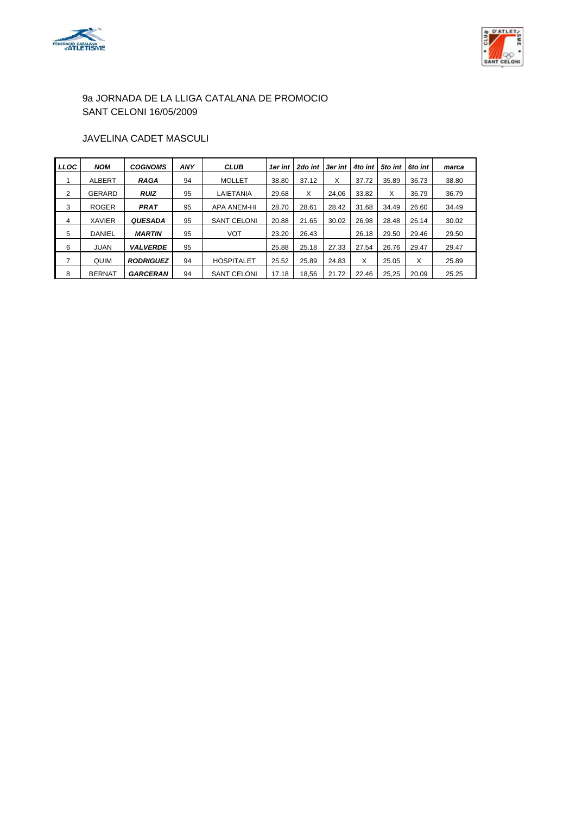



### JAVELINA CADET MASCULI

| <b>LLOC</b> | <b>NOM</b>    | <b>COGNOMS</b>   | <b>ANY</b> | <b>CLUB</b>        | 1er int | 2do int | 3er int | 4to int | 5to int | 6to int | marca |
|-------------|---------------|------------------|------------|--------------------|---------|---------|---------|---------|---------|---------|-------|
|             | ALBERT        | <b>RAGA</b>      | 94         | <b>MOLLET</b>      | 38.80   | 37.12   | X       | 37.72   | 35.89   | 36.73   | 38.80 |
| 2           | <b>GERARD</b> | <b>RUIZ</b>      | 95         | LAIETANIA          | 29.68   | X       | 24.06   | 33.82   | x       | 36.79   | 36.79 |
| 3           | <b>ROGER</b>  | <b>PRAT</b>      | 95         | <b>APA ANEM-HI</b> | 28.70   | 28.61   | 28.42   | 31.68   | 34.49   | 26.60   | 34.49 |
| 4           | <b>XAVIER</b> | <b>QUESADA</b>   | 95         | <b>SANT CELONI</b> | 20.88   | 21.65   | 30.02   | 26.98   | 28.48   | 26.14   | 30.02 |
| 5           | <b>DANIEL</b> | <b>MARTIN</b>    | 95         | <b>VOT</b>         | 23.20   | 26.43   |         | 26.18   | 29.50   | 29.46   | 29.50 |
| 6           | <b>JUAN</b>   | <b>VALVERDE</b>  | 95         |                    | 25.88   | 25.18   | 27.33   | 27.54   | 26.76   | 29.47   | 29.47 |
| 7           | QUIM          | <b>RODRIGUEZ</b> | 94         | <b>HOSPITALET</b>  | 25.52   | 25.89   | 24.83   | X       | 25.05   | х       | 25.89 |
| 8           | <b>BERNAT</b> | <b>GARCERAN</b>  | 94         | <b>SANT CELONI</b> | 17.18   | 18.56   | 21.72   | 22.46   | 25,25   | 20.09   | 25.25 |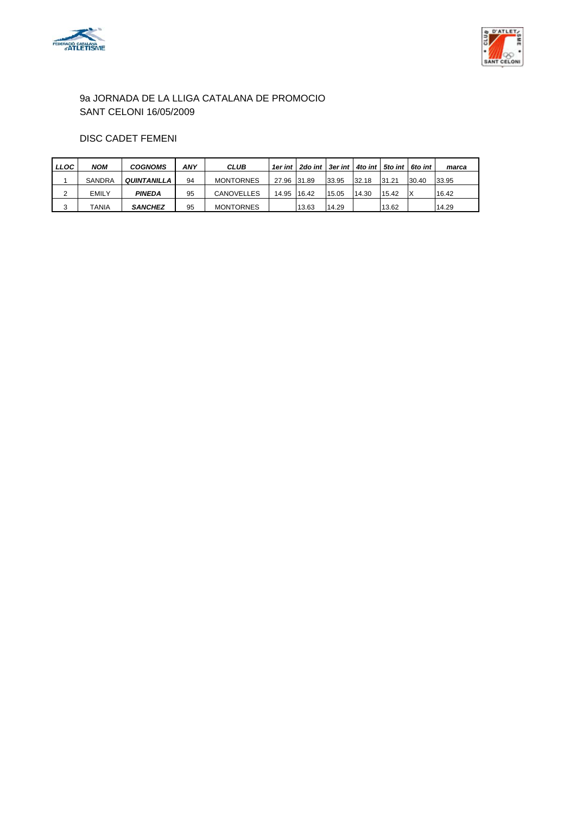



### DISC CADET FEMENI

| LLOC | <b>NOM</b> | <b>COGNOMS</b> | ANY | <b>CLUB</b>       |             | 1er int   2do int   3er int   4to int   5to int |       |       |       | 6to int | marca |
|------|------------|----------------|-----|-------------------|-------------|-------------------------------------------------|-------|-------|-------|---------|-------|
|      | SANDRA     | QUINTANILLA    | 94  | <b>MONTORNES</b>  | 27.96 31.89 |                                                 | 33.95 | 32.18 | 31.21 | 30.40   | 33.95 |
|      | EMILY      | <b>PINEDA</b>  | 95  | <b>CANOVELLES</b> | 14.95       | 16.42                                           | 15.05 | 14.30 | 15.42 |         | 16.42 |
|      | TANIA      | <b>SANCHEZ</b> | 95  | <b>MONTORNES</b>  |             | 13.63                                           | 14.29 |       | 13.62 |         | 14.29 |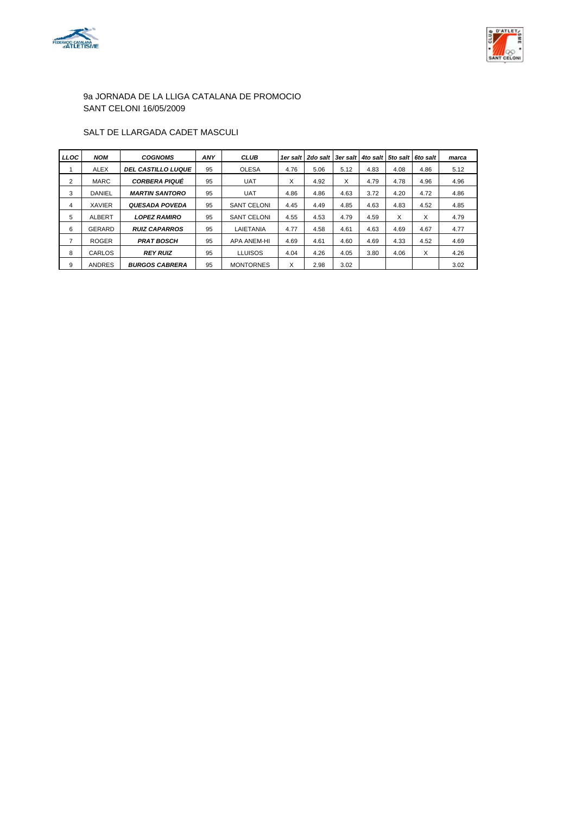



#### SALT DE LLARGADA CADET MASCULI

| <b>LLOC</b>    | <b>NOM</b>    | <b>COGNOMS</b>            | <b>ANY</b> | <b>CLUB</b>        | 1er salt | 2do salt | 3er salt | 4to salt | 5to salt | 6to salt | marca |
|----------------|---------------|---------------------------|------------|--------------------|----------|----------|----------|----------|----------|----------|-------|
|                | <b>ALEX</b>   | <b>DEL CASTILLO LUQUE</b> | 95         | <b>OLESA</b>       | 4.76     | 5.06     | 5.12     | 4.83     | 4.08     | 4.86     | 5.12  |
| $\overline{2}$ | <b>MARC</b>   | <b>CORBERA PIQUÉ</b>      | 95         | <b>UAT</b>         | X        | 4.92     | X        | 4.79     | 4.78     | 4.96     | 4.96  |
| 3              | <b>DANIEL</b> | <b>MARTIN SANTORO</b>     | 95         | <b>UAT</b>         | 4.86     | 4.86     | 4.63     | 3.72     | 4.20     | 4.72     | 4.86  |
| 4              | <b>XAVIER</b> | <b>QUESADA POVEDA</b>     | 95         | <b>SANT CELONI</b> | 4.45     | 4.49     | 4.85     | 4.63     | 4.83     | 4.52     | 4.85  |
| 5              | <b>ALBERT</b> | <b>LOPEZ RAMIRO</b>       | 95         | <b>SANT CELONI</b> | 4.55     | 4.53     | 4.79     | 4.59     | X        | X        | 4.79  |
| 6              | GERARD        | <b>RUIZ CAPARROS</b>      | 95         | LAIETANIA          | 4.77     | 4.58     | 4.61     | 4.63     | 4.69     | 4.67     | 4.77  |
| $\overline{ }$ | <b>ROGER</b>  | <b>PRAT BOSCH</b>         | 95         | <b>APA ANEM-HI</b> | 4.69     | 4.61     | 4.60     | 4.69     | 4.33     | 4.52     | 4.69  |
| 8              | CARLOS        | <b>REY RUIZ</b>           | 95         | <b>LLUISOS</b>     | 4.04     | 4.26     | 4.05     | 3.80     | 4.06     | X        | 4.26  |
| 9              | <b>ANDRES</b> | <b>BURGOS CABRERA</b>     | 95         | <b>MONTORNES</b>   | X        | 2.98     | 3.02     |          |          |          | 3.02  |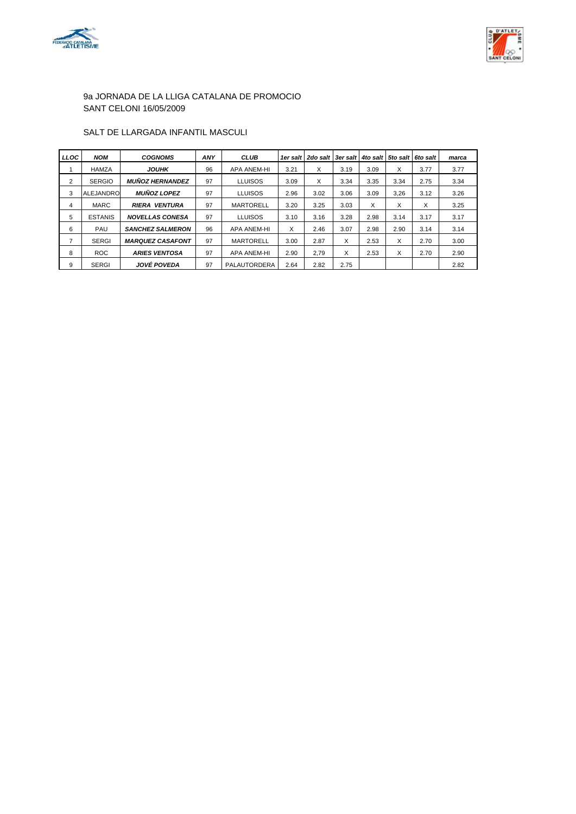



### SALT DE LLARGADA INFANTIL MASCULI

| <b>LLOC</b>    | <b>NOM</b>       | <b>COGNOMS</b>          | <b>ANY</b> | <b>CLUB</b>        | 1er salt | 2do salt   3er salt |      |      | 4to salt 5to salt | <b>6to salt</b> | marca |
|----------------|------------------|-------------------------|------------|--------------------|----------|---------------------|------|------|-------------------|-----------------|-------|
|                | <b>HAMZA</b>     | <b>JOUHK</b>            | 96         | <b>APA ANEM-HI</b> | 3.21     | X                   | 3.19 | 3.09 | X                 | 3.77            | 3.77  |
| 2              | <b>SERGIO</b>    | <b>MUÑOZ HERNANDEZ</b>  | 97         | <b>LLUISOS</b>     | 3.09     | X                   | 3.34 | 3.35 | 3.34              | 2.75            | 3.34  |
| 3              | <b>ALEJANDRO</b> | <b>MUÑOZ LOPEZ</b>      | 97         | <b>LLUISOS</b>     | 2.96     | 3.02                | 3.06 | 3.09 | 3.26              | 3.12            | 3.26  |
| 4              | <b>MARC</b>      | <b>RIERA VENTURA</b>    | 97         | <b>MARTORELL</b>   | 3.20     | 3.25                | 3.03 | X    | X                 | X               | 3.25  |
| 5              | <b>ESTANIS</b>   | <b>NOVELLAS CONESA</b>  | 97         | <b>LLUISOS</b>     | 3.10     | 3.16                | 3.28 | 2.98 | 3.14              | 3.17            | 3.17  |
| 6              | PAU              | <b>SANCHEZ SALMERON</b> | 96         | <b>APA ANEM-HI</b> | $\times$ | 2.46                | 3.07 | 2.98 | 2.90              | 3.14            | 3.14  |
| $\overline{7}$ | <b>SERGI</b>     | <b>MARQUEZ CASAFONT</b> | 97         | <b>MARTORELL</b>   | 3.00     | 2.87                | X    | 2.53 | X                 | 2.70            | 3.00  |
| 8              | <b>ROC</b>       | <b>ARIES VENTOSA</b>    | 97         | <b>APA ANEM-HI</b> | 2.90     | 2.79                | X    | 2.53 | X                 | 2.70            | 2.90  |
| 9              | <b>SERGI</b>     | JOVÉ POVEDA             | 97         | PALAUTORDERA       | 2.64     | 2.82                | 2.75 |      |                   |                 | 2.82  |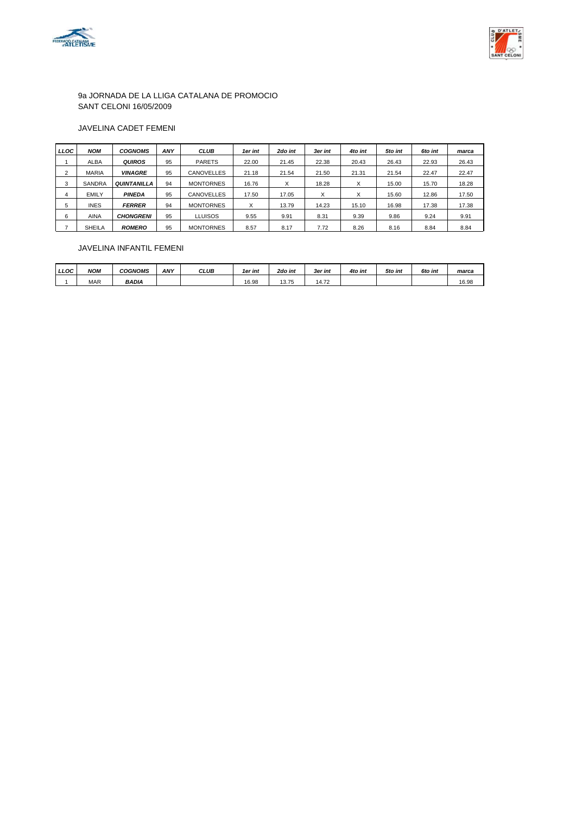



#### JAVELINA CADET FEMENI

| LLOC | <b>NOM</b>    | <b>COGNOMS</b>     | <b>ANY</b> | <b>CLUB</b>       | 1er int | 2do int | 3er int | 4to int | 5to int | 6to int | marca |
|------|---------------|--------------------|------------|-------------------|---------|---------|---------|---------|---------|---------|-------|
|      | <b>ALBA</b>   | <b>QUIROS</b>      | 95         | <b>PARETS</b>     | 22.00   | 21.45   | 22.38   | 20.43   | 26.43   | 22.93   | 26.43 |
| ົ    | <b>MARIA</b>  | <b>VINAGRE</b>     | 95         | <b>CANOVELLES</b> | 21.18   | 21.54   | 21.50   | 21.31   | 21.54   | 22.47   | 22.47 |
| 3    | <b>SANDRA</b> | <b>QUINTANILLA</b> | 94         | <b>MONTORNES</b>  | 16.76   | X       | 18.28   | X       | 15.00   | 15.70   | 18.28 |
| 4    | EMILY         | <b>PINEDA</b>      | 95         | <b>CANOVELLES</b> | 17.50   | 17.05   | v       | л       | 15.60   | 12.86   | 17.50 |
| 5    | <b>INES</b>   | <b>FERRER</b>      | 94         | <b>MONTORNES</b>  | X       | 13.79   | 14.23   | 15.10   | 16.98   | 17.38   | 17.38 |
| 6    | <b>AINA</b>   | <b>CHONGRENI</b>   | 95         | <b>LLUISOS</b>    | 9.55    | 9.91    | 8.31    | 9.39    | 9.86    | 9.24    | 9.91  |
|      | <b>SHEILA</b> | <b>ROMERO</b>      | 95         | <b>MONTORNES</b>  | 8.57    | 8.17    | 7.72    | 8.26    | 8.16    | 8.84    | 8.84  |

#### JAVELINA INFANTIL FEMENI

| <b>LLOC</b> | NOM        | <i><b>COGNOMS</b></i> | <b>ANY</b> | <b>CLUB</b> | 1er int | 2do int          | 3er int                           | 4to int | 5to int | 6to int | marca |
|-------------|------------|-----------------------|------------|-------------|---------|------------------|-----------------------------------|---------|---------|---------|-------|
|             | <b>MAR</b> | <b>BADIA</b>          |            |             | 16.98   | 12.75<br>ن ، ، ب | $\overline{70}$<br>14. <i>I</i> Z |         |         |         | 16.98 |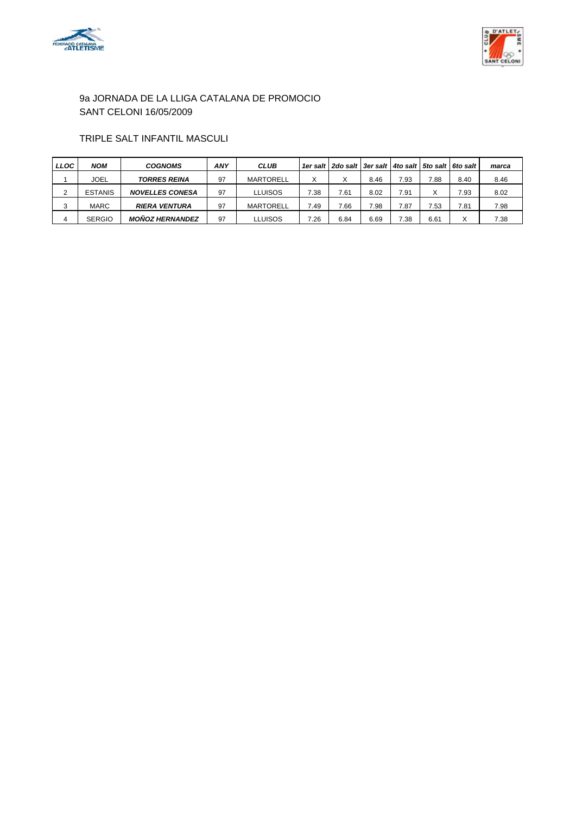



### TRIPLE SALT INFANTIL MASCULI

| <b>LLOC</b> | <b>NOM</b>     | <b>COGNOMS</b>         | ANY | <b>CLUB</b>      |      | 1er salt   2do salt   3er salt   4to salt   5to salt   6to salt |      |      |      |                   | marca |
|-------------|----------------|------------------------|-----|------------------|------|-----------------------------------------------------------------|------|------|------|-------------------|-------|
|             | JOEL           | <b>TORRES REINA</b>    | 97  | <b>MARTORELL</b> | Χ    | х                                                               | 8.46 | 7.93 | 7.88 | 8.40              | 8.46  |
|             | <b>ESTANIS</b> | <b>NOVELLES CONESA</b> | 97  | <b>LLUISOS</b>   | 7.38 | 7.61                                                            | 8.02 | 7.91 |      | 7.93              | 8.02  |
|             | MARC           | <b>RIERA VENTURA</b>   | 97  | <b>MARTORELL</b> | 7.49 | 7.66                                                            | 7.98 | 7.87 | 7.53 | 7.81              | 7.98  |
|             | <b>SERGIO</b>  | <b>MOÑOZ HERNANDEZ</b> | 97  | <b>LLUISOS</b>   | 7.26 | 6.84                                                            | 6.69 | 7.38 | 6.61 | $\checkmark$<br>⌒ | 7.38  |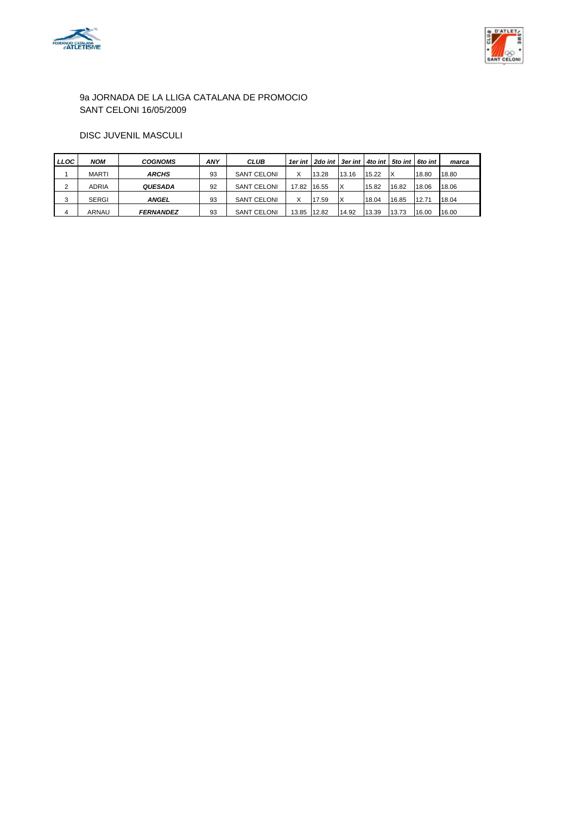



### DISC JUVENIL MASCULI

| <b>LLOC</b> | NOM          | <b>COGNOMS</b>   | <b>ANY</b> | <b>CLUB</b>        |       | 1er int   2do int   3er int   4to int   5to int   6to int |       |       |       |       | marca |
|-------------|--------------|------------------|------------|--------------------|-------|-----------------------------------------------------------|-------|-------|-------|-------|-------|
|             | MARTI        | ARCHS            | 93         | <b>SANT CELONI</b> | X     | 13.28                                                     | 13.16 | 15.22 | ΙX    | 18.80 | 18.80 |
| ົ           | ADRIA        | <b>QUESADA</b>   | 92         | <b>SANT CELONI</b> | 17.82 | 16.55                                                     | IX    | 15.82 | 16.82 | 18.06 | 18.06 |
| ◠           | <b>SERGI</b> | <b>ANGEL</b>     | 93         | <b>SANT CELONI</b> | X     | 17.59                                                     | ΙX    | 18.04 | 16.85 | 12.71 | 18.04 |
|             | ARNAU        | <b>FERNANDEZ</b> | 93         | <b>SANT CELONI</b> | 13.85 | 12.82                                                     | 14.92 | 13.39 | 13.73 | 16.00 | 16.00 |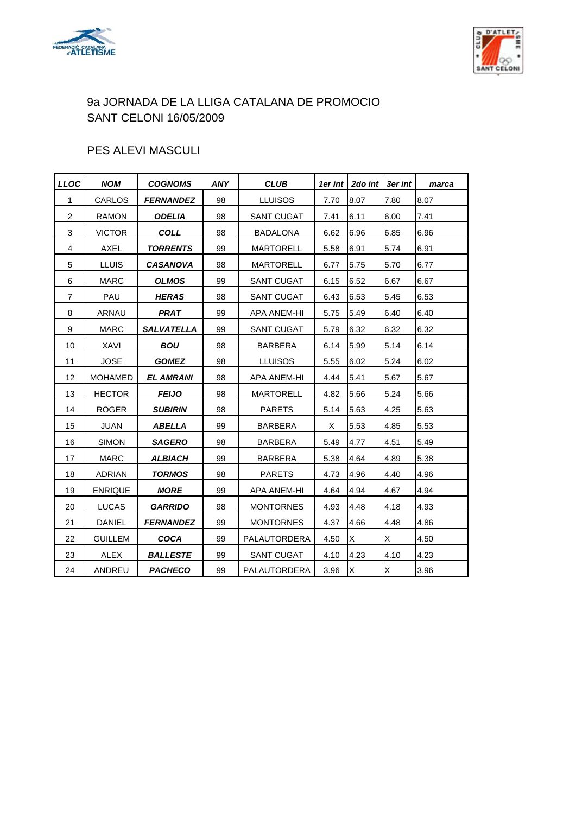



## PES ALEVI MASCULI

| <b>LLOC</b>    | <b>NOM</b>     | <b>COGNOMS</b>    | <b>ANY</b> | <b>CLUB</b>       | 1er int | 2do int | 3er int | marca |
|----------------|----------------|-------------------|------------|-------------------|---------|---------|---------|-------|
| $\mathbf{1}$   | CARLOS         | <b>FERNANDEZ</b>  | 98         | <b>LLUISOS</b>    | 7.70    | 8.07    | 7.80    | 8.07  |
| $\overline{2}$ | <b>RAMON</b>   | <b>ODELIA</b>     | 98         | <b>SANT CUGAT</b> | 7.41    | 6.11    | 6.00    | 7.41  |
| 3              | <b>VICTOR</b>  | <b>COLL</b>       | 98         | <b>BADALONA</b>   | 6.62    | 6.96    | 6.85    | 6.96  |
| $\overline{4}$ | <b>AXEL</b>    | <b>TORRENTS</b>   | 99         | <b>MARTORELL</b>  | 5.58    | 6.91    | 5.74    | 6.91  |
| 5              | <b>LLUIS</b>   | <b>CASANOVA</b>   | 98         | <b>MARTORELL</b>  | 6.77    | 5.75    | 5.70    | 6.77  |
| 6              | <b>MARC</b>    | <b>OLMOS</b>      | 99         | <b>SANT CUGAT</b> | 6.15    | 6.52    | 6.67    | 6.67  |
| $\overline{7}$ | PAU            | <b>HERAS</b>      | 98         | <b>SANT CUGAT</b> | 6.43    | 6.53    | 5.45    | 6.53  |
| 8              | ARNAU          | <b>PRAT</b>       | 99         | APA ANEM-HI       | 5.75    | 5.49    | 6.40    | 6.40  |
| 9              | <b>MARC</b>    | <b>SALVATELLA</b> | 99         | <b>SANT CUGAT</b> | 5.79    | 6.32    | 6.32    | 6.32  |
| 10             | XAVI           | <b>BOU</b>        | 98         | <b>BARBERA</b>    | 6.14    | 5.99    | 5.14    | 6.14  |
| 11             | <b>JOSE</b>    | <b>GOMEZ</b>      | 98         | <b>LLUISOS</b>    | 5.55    | 6.02    | 5.24    | 6.02  |
| 12             | <b>MOHAMED</b> | <b>EL AMRANI</b>  | 98         | APA ANEM-HI       | 4.44    | 5.41    | 5.67    | 5.67  |
| 13             | <b>HECTOR</b>  | <b>FEIJO</b>      | 98         | <b>MARTORELL</b>  | 4.82    | 5.66    | 5.24    | 5.66  |
| 14             | <b>ROGER</b>   | <b>SUBIRIN</b>    | 98         | <b>PARETS</b>     | 5.14    | 5.63    | 4.25    | 5.63  |
| 15             | <b>JUAN</b>    | <b>ABELLA</b>     | 99         | <b>BARBERA</b>    | X       | 5.53    | 4.85    | 5.53  |
| 16             | <b>SIMON</b>   | <b>SAGERO</b>     | 98         | <b>BARBERA</b>    | 5.49    | 4.77    | 4.51    | 5.49  |
| 17             | <b>MARC</b>    | <b>ALBIACH</b>    | 99         | <b>BARBERA</b>    | 5.38    | 4.64    | 4.89    | 5.38  |
| 18             | <b>ADRIAN</b>  | <b>TORMOS</b>     | 98         | <b>PARETS</b>     | 4.73    | 4.96    | 4.40    | 4.96  |
| 19             | <b>ENRIQUE</b> | <b>MORE</b>       | 99         | APA ANEM-HI       | 4.64    | 4.94    | 4.67    | 4.94  |
| 20             | LUCAS          | <b>GARRIDO</b>    | 98         | <b>MONTORNES</b>  | 4.93    | 4.48    | 4.18    | 4.93  |
| 21             | <b>DANIEL</b>  | <b>FERNANDEZ</b>  | 99         | <b>MONTORNES</b>  | 4.37    | 4.66    | 4.48    | 4.86  |
| 22             | <b>GUILLEM</b> | <b>COCA</b>       | 99         | PALAUTORDERA      | 4.50    | X.      | X       | 4.50  |
| 23             | <b>ALEX</b>    | <b>BALLESTE</b>   | 99         | <b>SANT CUGAT</b> | 4.10    | 4.23    | 4.10    | 4.23  |
| 24             | ANDREU         | <b>PACHECO</b>    | 99         | PALAUTORDERA      | 3.96    | Χ       | Χ       | 3.96  |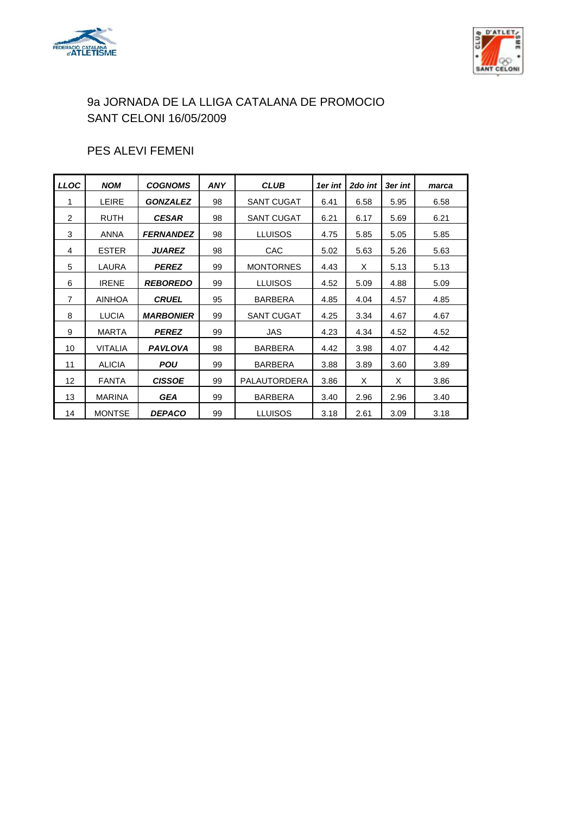



## PES ALEVI FEMENI

| <b>LLOC</b>    | <b>NOM</b>     | <b>COGNOMS</b>   | <b>ANY</b> | <b>CLUB</b>       | 1er int | 2do int | 3er int | marca |
|----------------|----------------|------------------|------------|-------------------|---------|---------|---------|-------|
| 1              | <b>LEIRE</b>   | <b>GONZALEZ</b>  | 98         | <b>SANT CUGAT</b> | 6.41    | 6.58    | 5.95    | 6.58  |
| 2              | <b>RUTH</b>    | <b>CESAR</b>     | 98         | <b>SANT CUGAT</b> | 6.21    | 6.17    | 5.69    | 6.21  |
| 3              | <b>ANNA</b>    | <b>FERNANDEZ</b> | 98         | <b>LLUISOS</b>    | 4.75    | 5.85    | 5.05    | 5.85  |
| 4              | <b>ESTER</b>   | <b>JUAREZ</b>    | 98         | CAC               | 5.02    | 5.63    | 5.26    | 5.63  |
| 5              | LAURA          | <b>PEREZ</b>     | 99         | <b>MONTORNES</b>  | 4.43    | X       | 5.13    | 5.13  |
| 6              | <b>IRENE</b>   | <b>REBOREDO</b>  | 99         | <b>LLUISOS</b>    | 4.52    | 5.09    | 4.88    | 5.09  |
| $\overline{7}$ | <b>AINHOA</b>  | <b>CRUEL</b>     | 95         | <b>BARBERA</b>    | 4.85    | 4.04    | 4.57    | 4.85  |
| 8              | <b>LUCIA</b>   | <b>MARBONIER</b> | 99         | <b>SANT CUGAT</b> | 4.25    | 3.34    | 4.67    | 4.67  |
| 9              | <b>MARTA</b>   | <b>PEREZ</b>     | 99         | <b>JAS</b>        | 4.23    | 4.34    | 4.52    | 4.52  |
| 10             | <b>VITALIA</b> | <b>PAVLOVA</b>   | 98         | <b>BARBERA</b>    | 4.42    | 3.98    | 4.07    | 4.42  |
| 11             | <b>ALICIA</b>  | <b>POU</b>       | 99         | <b>BARBERA</b>    | 3.88    | 3.89    | 3.60    | 3.89  |
| 12             | <b>FANTA</b>   | <b>CISSOE</b>    | 99         | PALAUTORDERA      | 3.86    | X       | X       | 3.86  |
| 13             | <b>MARINA</b>  | <b>GEA</b>       | 99         | <b>BARBERA</b>    | 3.40    | 2.96    | 2.96    | 3.40  |
| 14             | <b>MONTSE</b>  | <b>DEPACO</b>    | 99         | <b>LLUISOS</b>    | 3.18    | 2.61    | 3.09    | 3.18  |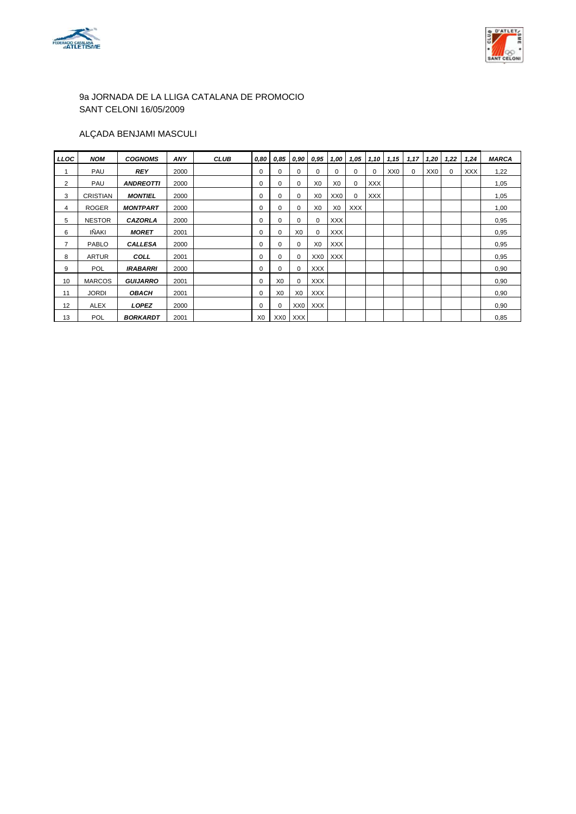



### ALÇADA BENJAMI MASCULI

| LLOC | <b>NOM</b>      | <b>COGNOMS</b>   | ANY  | <b>CLUB</b> | 0,80           | 0,85            | 0,90            | 0.95            | 1,00           | 1,05       | 1,10       | 1,15            | 1,17     | 1,20            | 1,22     | 1,24 | <b>MARCA</b> |
|------|-----------------|------------------|------|-------------|----------------|-----------------|-----------------|-----------------|----------------|------------|------------|-----------------|----------|-----------------|----------|------|--------------|
|      | PAU             | <b>REY</b>       | 2000 |             | 0              | 0               | 0               | $\Omega$        | 0              | $\Omega$   | 0          | XX <sub>0</sub> | $\Omega$ | XX <sub>0</sub> | $\Omega$ | XXX  | 1,22         |
| 2    | PAU             | <b>ANDREOTTI</b> | 2000 |             | 0              | 0               | 0               | X <sub>0</sub>  | X <sub>0</sub> | 0          | <b>XXX</b> |                 |          |                 |          |      | 1,05         |
| 3    | <b>CRISTIAN</b> | <b>MONTIEL</b>   | 2000 |             | 0              | 0               | 0               | X0              | XX0            | $\Omega$   | XXX        |                 |          |                 |          |      | 1,05         |
| 4    | <b>ROGER</b>    | <b>MONTPART</b>  | 2000 |             | 0              | 0               | 0               | X <sub>0</sub>  | X0             | <b>XXX</b> |            |                 |          |                 |          |      | 1,00         |
| 5    | <b>NESTOR</b>   | <b>CAZORLA</b>   | 2000 |             | 0              | 0               | 0               | 0               | XXX            |            |            |                 |          |                 |          |      | 0,95         |
| 6    | IÑAKI           | <b>MORET</b>     | 2001 |             | $\Omega$       | 0               | X <sub>0</sub>  | 0               | XXX            |            |            |                 |          |                 |          |      | 0,95         |
| 7    | <b>PABLO</b>    | <b>CALLESA</b>   | 2000 |             | 0              | 0               | 0               | X <sub>0</sub>  | <b>XXX</b>     |            |            |                 |          |                 |          |      | 0,95         |
| 8    | <b>ARTUR</b>    | COLL             | 2001 |             | 0              | 0               | 0               | XX <sub>0</sub> | <b>XXX</b>     |            |            |                 |          |                 |          |      | 0,95         |
| 9    | <b>POL</b>      | <b>IRABARRI</b>  | 2000 |             | 0              | 0               | $\Omega$        | <b>XXX</b>      |                |            |            |                 |          |                 |          |      | 0,90         |
| 10   | <b>MARCOS</b>   | <b>GUIJARRO</b>  | 2001 |             | 0              | X <sub>0</sub>  | 0               | <b>XXX</b>      |                |            |            |                 |          |                 |          |      | 0,90         |
| 11   | <b>JORDI</b>    | <b>OBACH</b>     | 2001 |             | 0              | X <sub>0</sub>  | X <sub>0</sub>  | <b>XXX</b>      |                |            |            |                 |          |                 |          |      | 0,90         |
| 12   | <b>ALEX</b>     | <b>LOPEZ</b>     | 2000 |             | 0              | 0               | XX <sub>0</sub> | <b>XXX</b>      |                |            |            |                 |          |                 |          |      | 0,90         |
| 13   | <b>POL</b>      | <b>BORKARDT</b>  | 2001 |             | X <sub>0</sub> | XX <sub>0</sub> | XXX             |                 |                |            |            |                 |          |                 |          |      | 0,85         |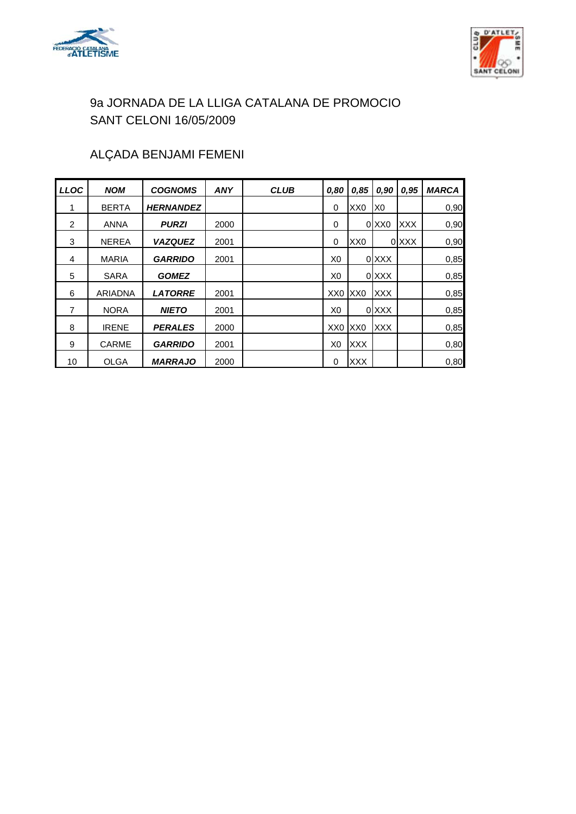



## ALÇADA BENJAMI FEMENI

| <b>LLOC</b> | <b>NOM</b>   | <b>COGNOMS</b>   | <b>ANY</b> | <b>CLUB</b> | 0,80            | 0,85            | 0,90              | 0.95       | <b>MARCA</b> |
|-------------|--------------|------------------|------------|-------------|-----------------|-----------------|-------------------|------------|--------------|
| 1           | <b>BERTA</b> | <b>HERNANDEZ</b> |            |             | 0               | XX <sub>0</sub> | X <sub>0</sub>    |            | 0,90         |
| 2           | <b>ANNA</b>  | <b>PURZI</b>     | 2000       |             | 0               |                 | 0 XX <sub>0</sub> | <b>XXX</b> | 0,90         |
| 3           | <b>NEREA</b> | <b>VAZQUEZ</b>   | 2001       |             | 0               | XX <sub>0</sub> |                   | 0 XXX      | 0,90         |
| 4           | <b>MARIA</b> | <b>GARRIDO</b>   | 2001       |             | X <sub>0</sub>  |                 | 0 XXX             |            | 0,85         |
| 5           | <b>SARA</b>  | <b>GOMEZ</b>     |            |             | X <sub>0</sub>  |                 | 0 XXX             |            | 0,85         |
| 6           | ARIADNA      | <b>LATORRE</b>   | 2001       |             | XX0 XX0         |                 | <b>XXX</b>        |            | 0,85         |
| 7           | <b>NORA</b>  | <b>NIETO</b>     | 2001       |             | X <sub>0</sub>  |                 | 0 XXX             |            | 0,85         |
| 8           | <b>IRENE</b> | <b>PERALES</b>   | 2000       |             | XX <sub>0</sub> | XX <sub>0</sub> | <b>XXX</b>        |            | 0,85         |
| 9           | <b>CARME</b> | <b>GARRIDO</b>   | 2001       |             | X <sub>0</sub>  | <b>XXX</b>      |                   |            | 0,80         |
| 10          | <b>OLGA</b>  | <b>MARRAJO</b>   | 2000       |             | 0               | <b>XXX</b>      |                   |            | 0,80         |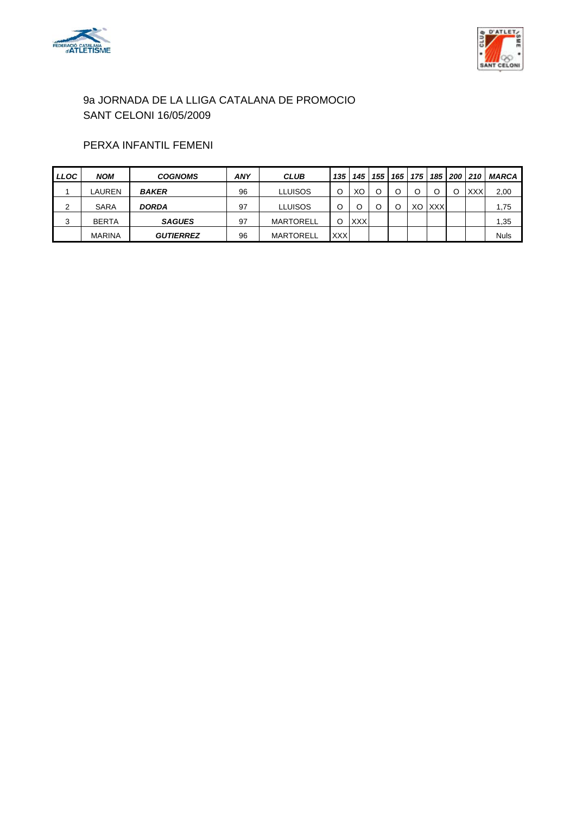



### PERXA INFANTIL FEMENI

| <b>LLOC</b> | <b>NOM</b>    | <b>COGNOMS</b>   | <b>ANY</b> | <b>CLUB</b>      | 135        | 145        | 155 | 165 |    | 175 185    | 200 | 210  | <b>MARCA</b> |
|-------------|---------------|------------------|------------|------------------|------------|------------|-----|-----|----|------------|-----|------|--------------|
|             | LAUREN        | <b>BAKER</b>     | 96         | LLUISOS          |            | ХC         | O   |     | C  |            |     | XXXI | 2,00         |
| 2           | <b>SARA</b>   | <b>DORDA</b>     | 97         | LLUISOS          |            |            |     |     | XO | <b>XXX</b> |     |      | 1,75         |
| 3           | <b>BERTA</b>  | <b>SAGUES</b>    | 97         | <b>MARTORELL</b> |            | <b>XXX</b> |     |     |    |            |     |      | 1,35         |
|             | <b>MARINA</b> | <b>GUTIERREZ</b> | 96         | <b>MARTORELL</b> | <b>XXX</b> |            |     |     |    |            |     |      | <b>Nuls</b>  |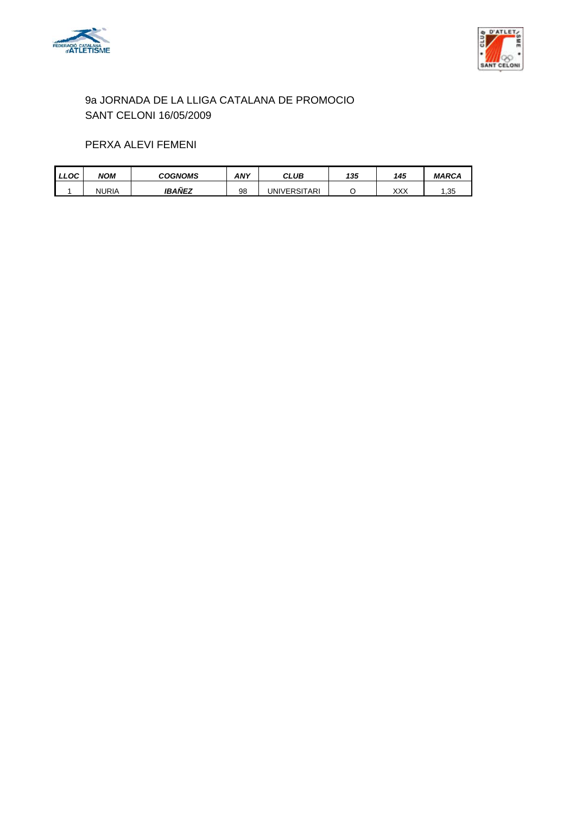



### PERXA ALEVI FEMENI

| LLOC' | NOM   | COGNOMS       | <b>ANY</b> | CLUB         | 135 | 145 | <b>MARCA</b> |
|-------|-------|---------------|------------|--------------|-----|-----|--------------|
|       | NURIA | <b>IBANEZ</b> | 98         | UNIVERSITARI |     | XXX | 1,35         |